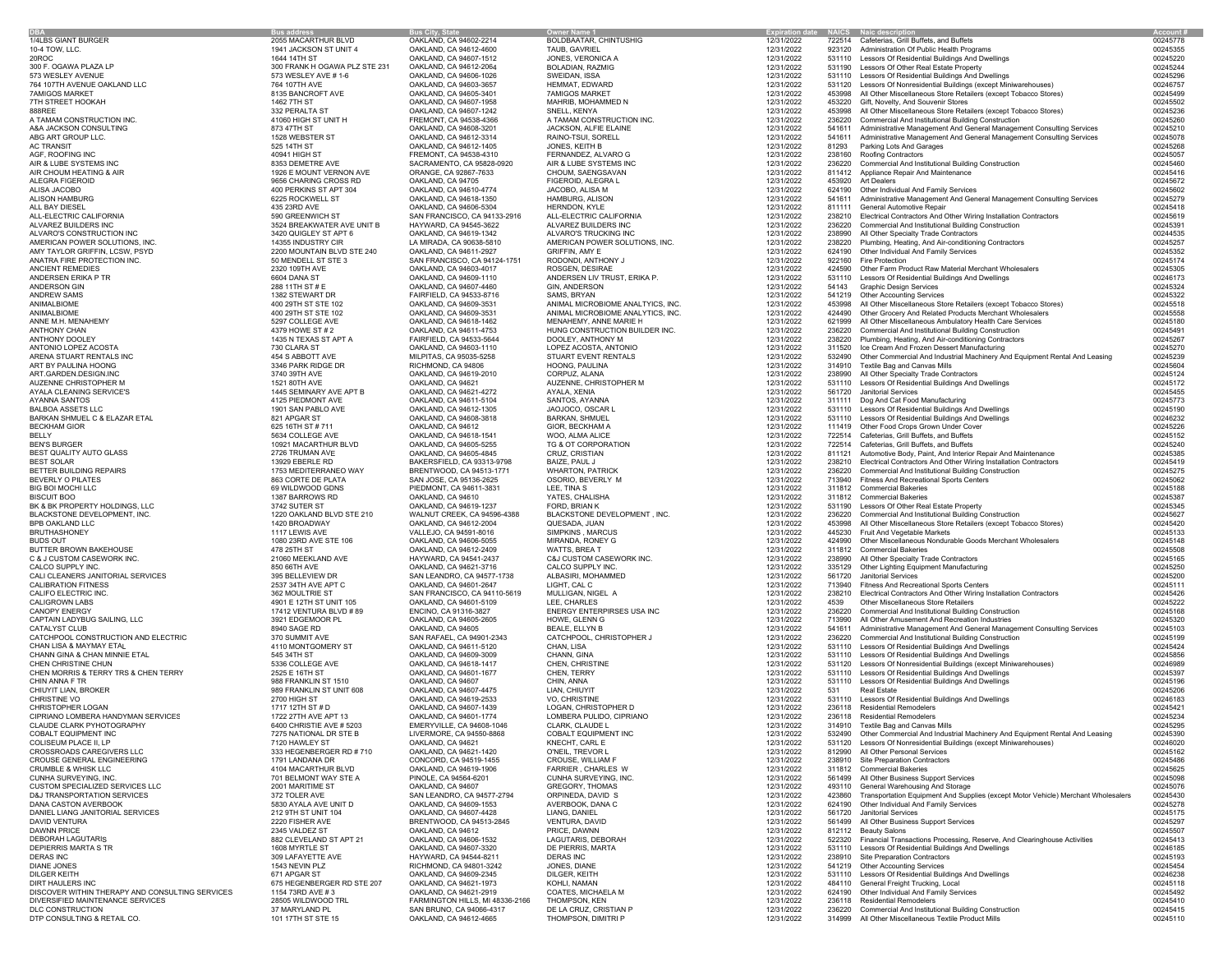|                                                          | <b>Bus address</b>                              | <b>Bus City, State</b>                           | <b>Owner Name 1</b>                             | <b>Expiration date</b>   | <b>NAICS</b>     | <b>Naic description</b>                                                                                |                      |
|----------------------------------------------------------|-------------------------------------------------|--------------------------------------------------|-------------------------------------------------|--------------------------|------------------|--------------------------------------------------------------------------------------------------------|----------------------|
| 1/4LBS GIANT BURGER                                      | 2055 MACARTHUR BLVD                             | OAKLAND, CA 94602-2214                           | BOLDBAATAR, CHINTUSHIG                          | 12/31/2022               | 722514           | Cafeterias, Grill Buffets, and Buffets                                                                 | 00245778             |
| 10-4 TOW, LLC.                                           | 1941 JACKSON ST UNIT 4                          | OAKLAND, CA 94612-4600                           | TAUB, GAVRIEL                                   | 12/31/2022               | 923120           | Administration Of Public Health Programs                                                               | 00245355             |
| 20ROC                                                    | 1644 14TH ST                                    | OAKLAND, CA 94607-1512                           | JONES, VERONICA A                               | 12/31/2022               | 531110           | Lessors Of Residential Buildings And Dwellings                                                         | 00245220             |
| 300 F. OGAWA PLAZA LP                                    | 300 FRANK H OGAWA PLZ STE 231                   | OAKLAND, CA 94612-2064                           | <b>BOLADIAN, RAZMIG</b>                         | 12/31/2022               | 531190           | Lessors Of Other Real Estate Property                                                                  | 00245244             |
| 573 WESLEY AVENUE                                        | 573 WESLEY AVE # 1-6                            | OAKLAND, CA 94606-1026                           | SWEIDAN, ISSA                                   | 12/31/2022               | 531110           | Lessors Of Residential Buildings And Dwellings                                                         | 00245296             |
| 764 107TH AVENUE OAKLAND LLC                             | 764 107TH AVE                                   | OAKLAND, CA 94603-3657                           | HEMMAT, EDWARD                                  | 12/31/2022               | 531120           | Lessors Of Nonresidential Buildings (except Miniwarehouses)                                            | 00246757             |
| <b>7AMIGOS MARKET</b><br>7TH STREET HOOKAH               | 8135 BANCROFT AVE<br>1462 7TH ST                | OAKLAND, CA 94605-3401<br>OAKLAND, CA 94607-1958 | <b>7AMIGOS MARKET</b><br>MAHRIB, MOHAMMED N     | 12/31/2022<br>12/31/2022 | 453998<br>453220 | All Other Miscellaneous Store Retailers (except Tobacco Stores)<br>Gift, Novelty, And Souvenir Stores  | 00245499<br>00245502 |
| 888REE                                                   | 332 PERALTA ST                                  | OAKLAND, CA 94607-1242                           | SNELL, KENYA                                    | 12/31/2022               | 453998           | All Other Miscellaneous Store Retailers (except Tobacco Stores)                                        | 00245236             |
| A TAMAM CONSTRUCTION INC.                                | 41060 HIGH ST UNIT H                            | FREMONT, CA 94538-4366                           | A TAMAM CONSTRUCTION INC.                       | 12/31/2022               | 236220           | Commercial And Institutional Building Construction                                                     | 00245260             |
| A&A JACKSON CONSULTING                                   | 873 47TH ST                                     | OAKLAND, CA 94608-3201                           | JACKSON, ALFIE ELAINE                           | 12/31/2022               | 541611           | Administrative Management And General Management Consulting Services                                   | 00245210             |
| ABG ART GROUP LLC.                                       | 1528 WEBSTER ST                                 | OAKLAND, CA 94612-3314                           | RAINO-TSUI, SORELL                              | 12/31/2022               | 541611           | Administrative Management And General Management Consulting Services                                   | 00245078             |
| <b>AC TRANSIT</b>                                        | 525 14TH ST                                     | OAKLAND, CA 94612-1405                           | JONES, KEITH B                                  | 12/31/2022               | 81293            | Parking Lots And Garages                                                                               | 00245268             |
| AGF, ROOFING INC                                         | 40941 HIGH ST                                   | FREMONT, CA 94538-4310                           | FERNANDEZ, ALVARO G                             | 12/31/2022               | 238160           | Roofing Contractors                                                                                    | 00245057             |
| AIR & LUBE SYSTEMS INC                                   | 8353 DEMETRE AVE                                | SACRAMENTO, CA 95828-0920                        | AIR & LUBE SYSTEMS INC                          | 12/31/2022               | 236220           | Commercial And Institutional Building Construction                                                     | 00245460             |
| AIR CHOUM HEATING & AIR<br>ALEGRA FIGEROID               | 1926 E MOUNT VERNON AVE                         | ORANGE, CA 92867-7633                            | CHOUM, SAENGSAVAN                               | 12/31/2022               | 811412<br>453920 | Appliance Repair And Maintenance<br><b>Art Dealers</b>                                                 | 00245416<br>00245672 |
| ALISA JACOBO                                             | 9656 CHARING CROSS RD<br>400 PERKINS ST APT 304 | OAKLAND, CA 94705<br>OAKLAND, CA 94610-4774      | FIGEROID, ALEGRA L<br>JACOBO, ALISA M           | 12/31/2022<br>12/31/2022 | 624190           | Other Individual And Family Services                                                                   | 00245602             |
| ALISON HAMBURG                                           | 6225 ROCKWELL ST                                | OAKLAND, CA 94618-1350                           | HAMBURG, ALISON                                 | 12/31/2022               | 541611           | Administrative Management And General Management Consulting Services                                   | 00245279             |
| ALL BAY DIESEL                                           | 435 23RD AVE                                    | OAKLAND, CA 94606-5304                           | HERNDON, KYLE                                   | 12/31/2022               | 811111           | General Automotive Repair                                                                              | 00245418             |
| ALL-ELECTRIC CALIFORNIA                                  | 590 GREENWICH ST                                | SAN FRANCISCO, CA 94133-2916                     | ALL-ELECTRIC CALIFORNIA                         | 12/31/2022               | 238210           | Electrical Contractors And Other Wiring Installation Contractors                                       | 00245619             |
| ALVAREZ BUILDERS INC                                     | 3524 BREAKWATER AVE UNIT B                      | HAYWARD, CA 94545-3622                           | ALVAREZ BUILDERS INC                            | 12/31/2022               | 236220           | Commercial And Institutional Building Construction                                                     | 0024539              |
| ALVARO'S CONSTRUCTION INC                                | 3420 QUIGLEY ST APT 6                           | OAKLAND, CA 94619-1342                           | ALVARO'S TRUCKING INC                           | 12/31/2022               | 238990           | All Other Specialty Trade Contractors                                                                  | 00244535             |
| AMERICAN POWER SOLUTIONS, INC.                           | 14355 INDUSTRY CIR                              | LA MIRADA, CA 90638-5810                         | AMERICAN POWER SOLUTIONS, INC.                  | 12/31/2022               | 238220           | Plumbing, Heating, And Air-conditioning Contractors                                                    | 00245257             |
| AMY TAYLOR GRIFFIN, LCSW, PSYD                           | 2200 MOUNTAIN BLVD STE 240                      | OAKLAND, CA 94611-2927                           | GRIFFIN, AMY E                                  | 12/31/2022               | 624190           | Other Individual And Family Services                                                                   | 00245352             |
| ANATRA FIRE PROTECTION INC.                              | 50 MENDELL ST STE 3                             | SAN FRANCISCO, CA 94124-1751                     | RODONDI, ANTHONY J                              | 12/31/2022               | 922160           | <b>Fire Protection</b>                                                                                 | 00245174             |
| ANCIENT REMEDIES<br>ANDERSEN ERIKA P TR                  | 2320 109TH AVE<br>6604 DANA ST                  | OAKLAND, CA 94603-4017<br>OAKLAND, CA 94609-1110 | ROSGEN, DESIRAE<br>ANDERSEN LIV TRUST, ERIKA P. | 12/31/2022<br>12/31/2022 | 424590<br>531110 | Other Farm Product Raw Material Merchant Wholesalers<br>Lessors Of Residential Buildings And Dwellings | 00245305<br>00246173 |
| ANDERSON GIN                                             | 288 11TH ST # E                                 | OAKLAND, CA 94607-4460                           | GIN, ANDERSON                                   | 12/31/2022               | 54143            | <b>Graphic Design Services</b>                                                                         | 00245324             |
| ANDREW SAMS                                              | 1382 STEWART DR                                 | FAIRFIELD, CA 94533-8716                         | SAMS, BRYAN                                     | 12/31/2022               | 541219           | <b>Other Accounting Services</b>                                                                       | 00245322             |
| ANIMALBIOME                                              | 400 29TH ST STE 102                             | OAKLAND, CA 94609-3531                           | ANIMAL MICROBIOME ANALTYICS, INC.               | 12/31/2022               | 453998           | All Other Miscellaneous Store Retailers (except Tobacco Stores)                                        | 00245518             |
| ANIMALBIOME                                              | 400 29TH ST STE 102                             | OAKLAND, CA 94609-3531                           | ANIMAL MICROBIOME ANALYTICS, INC.               | 12/31/2022               | 424490           | Other Grocery And Related Products Merchant Wholesalers                                                | 00245558             |
| ANNE M.H. MENAHEMY                                       | 5297 COLLEGE AVE                                | OAKLAND, CA 94618-1462                           | MENAHEMY, ANNE MARIE H                          | 12/31/2022               | 621999           | All Other Miscellaneous Ambulatory Health Care Services                                                | 00245180             |
| ANTHONY CHAN                                             | 4379 HOWE ST # 2                                | OAKLAND, CA 94611-4753                           | HUNG CONSTRUCTION BUILDER INC.                  | 12/31/2022               | 236220           | Commercial And Institutional Building Construction                                                     | 0024549              |
| ANTHONY DOOLEY                                           | 1435 N TEXAS ST APT A                           | FAIRFIELD, CA 94533-5644                         | DOOLEY, ANTHONY M                               | 12/31/2022               | 238220           | Plumbing, Heating, And Air-conditioning Contractors                                                    | 00245267             |
| ANTONIO LOPEZ ACOSTA                                     | 730 CLARA ST                                    | OAKLAND, CA 94603-1110                           | LOPEZ ACOSTA, ANTONIO                           | 12/31/2022               | 311520           | Ice Cream And Frozen Dessert Manufacturing                                                             | 00245270             |
| ARENA STUART RENTALS INC                                 | 454 S ABBOTT AVE                                | MILPITAS, CA 95035-5258                          | STUART EVENT RENTALS                            | 12/31/2022               | 532490           | Other Commercial And Industrial Machinery And Equipment Rental And Leasing                             | 00245239             |
| ART BY PAULINA HOONG                                     | 3346 PARK RIDGE DR                              | RICHMOND, CA 94806                               | HOONG, PAULINA                                  | 12/31/2022               | 314910           | Textile Bag and Canvas Mills                                                                           | 00245604             |
| ART.GARDEN.DESIGN.INC                                    | 3740 39TH AVE                                   | OAKLAND, CA 94619-2010                           | CORPUZ, ALANA                                   | 12/31/2022               | 238990           | All Other Specialty Trade Contractors                                                                  | 00245124             |
| AUZENNE CHRISTOPHER M                                    | 1521 80TH AVE                                   | OAKLAND, CA 94621                                | AUZENNE, CHRISTOPHER M                          | 12/31/2022               | 531110           | Lessors Of Residential Buildings And Dwellings                                                         | 00245172             |
| AYALA CLEANING SERVICE'S                                 | 1445 SEMINARY AVE APT B                         | OAKLAND, CA 94621-4272                           | AYALA, XENIA                                    | 12/31/2022               | 561720           | Janitorial Services                                                                                    | 00245455             |
| AYANNA SANTOS<br><b>BALBOA ASSETS LLC</b>                | 4125 PIEDMONT AVE<br>1901 SAN PABLO AVE         | OAKLAND, CA 94611-5104<br>OAKLAND, CA 94612-1305 | SANTOS, AYANNA<br>JAOJOCO, OSCAR L              | 12/31/2022<br>12/31/2022 | 311111<br>531110 | Dog And Cat Food Manufacturing<br>Lessors Of Residential Buildings And Dwellings                       | 00245773<br>00245190 |
| BARKAN SHMUEL C & ELAZAR ETAL                            | 821 APGAR ST                                    | OAKLAND, CA 94608-3818                           | <b>BARKAN, SHMUEL</b>                           | 12/31/2022               | 531110           | Lessors Of Residential Buildings And Dwellings                                                         | 00246232             |
| <b>BECKHAM GIOR</b>                                      | 625 16TH ST # 711                               | OAKLAND, CA 94612                                | GIOR, BECKHAM A                                 | 12/31/2022               | 111419           | Other Food Crops Grown Under Cover                                                                     | 00245226             |
| BELLY                                                    | 5634 COLLEGE AVE                                | OAKLAND, CA 94618-1541                           | WOO, ALMA ALICE                                 | 12/31/2022               | 722514           | Cafeterias, Grill Buffets, and Buffets                                                                 | 00245152             |
| <b>BEN'S BURGER</b>                                      | 10921 MACARTHUR BLVD                            | OAKLAND, CA 94605-5255                           | TG & OT CORPORATION                             | 12/31/2022               | 722514           | Cafeterias, Grill Buffets, and Buffets                                                                 | 00245240             |
| BEST QUALITY AUTO GLASS                                  | 2726 TRUMAN AVE                                 | OAKLAND, CA 94605-4845                           | CRUZ, CRISTIAN                                  | 12/31/2022               | 811121           | Automotive Body, Paint, And Interior Repair And Maintenance                                            | 00245385             |
| <b>BEST SOLAR</b>                                        | 13929 EBERLE RD                                 | BAKERSFIELD, CA 93313-9798                       | BAIZE, PAUL J                                   | 12/31/2022               | 238210           | Electrical Contractors And Other Wiring Installation Contractors                                       | 00245419             |
| BETTER BUILDING REPAIRS                                  | 1753 MEDITERRANEO WAY                           | BRENTWOOD, CA 94513-1771                         | <b>WHARTON, PATRICK</b>                         | 12/31/2022               | 236220           | Commercial And Institutional Building Construction                                                     | 00245275             |
| <b>BEVERLY O PILATES</b>                                 | 863 CORTE DE PLATA                              | SAN JOSE, CA 95136-2625                          | OSORIO, BEVERLY M                               | 12/31/2022               | 713940           | Fitness And Recreational Sports Centers                                                                | 00245062             |
| BIG BOI MOCHI LLC                                        | 69 WILDWOOD GDNS                                | PIEDMONT, CA 94611-3831                          | LEE. TINA S                                     | 12/31/2022               | 311812           | <b>Commercial Bakeries</b>                                                                             | 00245188             |
| <b>BISCUIT BOO</b>                                       | 1387 BARROWS RD                                 | OAKLAND, CA 94610                                | YATES, CHALISHA                                 | 12/31/2022               | 311812           | <b>Commercial Bakeries</b>                                                                             | 00245387             |
| BK & BK PROPERTY HOLDINGS, LLC                           | 3742 SUTER ST                                   | OAKLAND, CA 94619-1237                           | FORD, BRIAN K                                   | 12/31/2022               | 531190           | Lessors Of Other Real Estate Property                                                                  | 00245345             |
| BLACKSTONE DEVELOPMENT, INC.                             | 1220 OAKLAND BLVD STE 210                       | WALNUT CREEK, CA 94596-4388                      | BLACKSTONE DEVELOPMENT, INC.                    | 12/31/2022               | 236220           | Commercial And Institutional Building Construction                                                     | 00245627             |
| BPB OAKLAND LLC                                          | 1420 BROADWAY                                   | OAKLAND, CA 94612-2004                           | QUESADA, JUAN                                   | 12/31/2022               | 453998           | All Other Miscellaneous Store Retailers (except Tobacco Stores)                                        | 00245420             |
| <b>BRUTHASHONEY</b><br><b>BUDS OUT</b>                   | 1117 LEWIS AVE                                  | VALLEJO, CA 94591-8016                           | SIMPKINS, MARCUS                                | 12/31/2022               | 445230<br>424990 | Fruit And Vegetable Markets                                                                            | 00245133<br>00245148 |
| BUTTER BROWN BAKEHOUSE                                   | 1080 23RD AVE STE 106<br>478 25TH ST            | OAKLAND, CA 94606-5055<br>OAKLAND, CA 94612-2409 | MIRANDA, RONEY G<br>WATTS, BREA T               | 12/31/2022<br>12/31/2022 | 311812           | Other Miscellaneous Nondurable Goods Merchant Wholesalers<br><b>Commercial Bakeries</b>                | 00245508             |
| C & J CUSTOM CASEWORK INC.                               | 21060 MEEKLAND AVE                              | HAYWARD, CA 94541-2437                           | C&J CUSTOM CASEWORK INC.                        | 12/31/2022               | 238990           | All Other Specialty Trade Contractors                                                                  | 00245165             |
| CALCO SUPPLY INC.                                        | 850 66TH AVE                                    | OAKLAND, CA 94621-3716                           | CALCO SUPPLY INC.                               | 12/31/2022               | 335129           | Other Lighting Equipment Manufacturing                                                                 | 00245250             |
| CALI CLEANERS JANITORIAL SERVICES                        | 395 BELLEVIEW DR                                | SAN LEANDRO, CA 94577-1738                       | ALBASIRI, MOHAMMED                              | 12/31/2022               | 561720           | Janitorial Services                                                                                    | 00245200             |
| <b>CALIBRATION FITNESS</b>                               | 2537 34TH AVE APT C                             | OAKLAND, CA 94601-2647                           | LIGHT, CAL C                                    | 12/31/2022               | 713940           | Fitness And Recreational Sports Centers                                                                | 00245111             |
| CALIFO ELECTRIC INC.                                     | 362 MOULTRIE ST                                 | SAN FRANCISCO, CA 94110-5619                     | MULLIGAN, NIGEL A                               | 12/31/2022               | 238210           | Electrical Contractors And Other Wiring Installation Contractors                                       | 00245426             |
| <b>CALIGROWN LABS</b>                                    | 4901 E 12TH ST UNIT 105                         | OAKLAND, CA 94601-5109                           | LEE, CHARLES                                    | 12/31/2022               | 4539             | Other Miscellaneous Store Retailers                                                                    | 00245222             |
| <b>CANOPY ENERGY</b>                                     | 17412 VENTURA BLVD #89                          | ENCINO, CA 91316-3827                            | ENERGY ENTERPIRSES USA INC                      | 12/31/2022               | 236220           | Commercial And Institutional Building Construction                                                     | 00245168             |
| CAPTAIN LADYBUG SAILING, LLC                             | 3921 EDGEMOOR PL                                | OAKLAND, CA 94605-2605                           | HOWE, GLENN G                                   | 12/31/2022               | 713990           | All Other Amusement And Recreation Industries                                                          | 00245320             |
| CATALYST CLUB                                            | 8940 SAGE RD                                    | OAKLAND, CA 94605                                | BEALE, ELLYN B                                  | 12/31/2022               | 541611           | Administrative Management And General Management Consulting Services                                   | 00245103             |
| CATCHPOOL CONSTRUCTION AND ELECTRIC                      | 370 SUMMIT AVE                                  | SAN RAFAEL, CA 94901-2343                        | CATCHPOOL, CHRISTOPHER J                        | 12/31/2022<br>12/31/2022 | 236220<br>531110 | Commercial And Institutional Building Construction                                                     | 00245199<br>00245424 |
| CHAN LISA & MAYMAY ETAL<br>CHANN GINA & CHAN MINNIE ETAL | 4110 MONTGOMERY ST<br>545 34TH ST               | OAKLAND, CA 94611-5120<br>OAKLAND, CA 94609-3009 | CHAN, LISA<br>CHANN, GINA                       | 12/31/2022               | 531110           | Lessors Of Residential Buildings And Dwellings<br>Lessors Of Residential Buildings And Dwellings       | 00245856             |
| CHEN CHRISTINE CHUN                                      | 5336 COLLEGE AVE                                | OAKLAND, CA 94618-1417                           | CHEN, CHRISTINE                                 | 12/31/2022               | 531120           | Lessors Of Nonresidential Buildings (except Miniwarehouses)                                            | 00246989             |
| CHEN MORRIS & TERRY TRS & CHEN TERRY                     | 2525 E 16TH ST                                  | OAKLAND, CA 94601-1677                           | CHEN, TERRY                                     | 12/31/2022               | 531110           | Lessors Of Residential Buildings And Dwellings                                                         | 00245397             |
| CHIN ANNA F TR                                           | 988 FRANKLIN ST 1510                            | OAKLAND, CA 94607                                | CHIN, ANNA                                      | 12/31/2022               | 531110           | Lessors Of Residential Buildings And Dwellings                                                         | 00245196             |
| CHIUYIT LIAN, BROKER                                     | 989 FRANKLIN ST UNIT 608                        | OAKLAND, CA 94607-4475                           | LIAN. CHIUYIT                                   | 12/31/2022               | 531              | <b>Real Estate</b>                                                                                     | 00245206             |
| CHRISTINE VO                                             | 2700 HIGH ST                                    | OAKLAND, CA 94619-2533                           | VO, CHRISTINE                                   | 12/31/2022               |                  | 531110 Lessors Of Residential Buildings And Dwellings                                                  | 00246183             |
| CHRISTOPHER LOGAN                                        | 1717 12TH ST # D                                | OAKLAND, CA 94607-1439                           | LOGAN, CHRISTOPHER D                            | 12/31/2022               | 236118           | <b>Residential Remodelers</b>                                                                          | 0024542              |
| CIPRIANO LOMBERA HANDYMAN SERVICES                       | 1722 27TH AVE APT 13                            | OAKLAND, CA 94601-1774                           | LOMBERA PULIDO, CIPRIANO                        | 12/31/2022               | 236118           | <b>Residential Remodelers</b>                                                                          | 00245234             |
| CLAUDE CLARK PYHOTOGRAPHY                                | 6400 CHRISTIE AVE # 5203                        | EMERYVILLE, CA 94608-1046                        | CLARK, CLAUDE L                                 | 12/31/2022               | 314910           | Textile Bag and Canvas Mills                                                                           | 00245295             |
| COBALT EQUIPMENT INC                                     | 7275 NATIONAL DR STE B                          | LIVERMORE, CA 94550-8868                         | COBALT EQUIPMENT INC                            | 12/31/2022               | 532490<br>531120 | Other Commercial And Industrial Machinery And Equipment Rental And Leasing                             | 00245390             |
| COLISEUM PLACE II, LP<br>CROSSROADS CAREGIVERS LLC       | 7120 HAWLEY ST<br>333 HEGENBERGER RD #710       | OAKLAND, CA 94621<br>OAKLAND, CA 94621-1420      | KNECHT, CARL E<br>O'NEIL, TREVOR L              | 12/31/2022<br>12/31/2022 | 812990           | Lessors Of Nonresidential Buildings (except Miniwarehouses)<br>All Other Personal Services             | 00246020<br>00245162 |
| CROUSE GENERAL ENGINEERING                               | 1791 LANDANA DR                                 | CONCORD, CA 94519-1455                           | CROUSE, WILLIAM F                               | 12/31/2022               | 238910           | Site Preparation Contractors                                                                           | 00245486             |
| <b>CRUMBLE &amp; WHISK LLC</b>                           | 4104 MACARTHUR BLVD                             | OAKLAND, CA 94619-1906                           | FARRIER, CHARLES W                              | 12/31/2022               | 311812           | <b>Commercial Bakeries</b>                                                                             | 00245625             |
| CUNHA SURVEYING, INC.                                    | 701 BELMONT WAY STE A                           | PINOLE, CA 94564-6201                            | CUNHA SURVEYING, INC.                           | 12/31/2022               | 561499           | All Other Business Support Services                                                                    | 00245098             |
| CUSTOM SPECIALIZED SERVICES LLC                          | 2001 MARITIME ST                                | OAKLAND, CA 94607                                | <b>GREGORY, THOMAS</b>                          | 12/31/2022               | 493110           | General Warehousing And Storage                                                                        | 00245076             |
| D&J TRANSPORTATION SERVICES                              | 372 TOLER AVE                                   | SAN LEANDRO, CA 94577-2794                       | ORPINEDA, DAVID S                               | 12/31/2022               | 423860           | Transportation Equipment And Supplies (except Motor Vehicle) Merchant Wholesalers                      | 00245430             |
| DANA CASTON AVERBOOK                                     | 5830 AYALA AVE UNIT D                           | OAKLAND, CA 94609-1553                           | AVERBOOK, DANA C                                | 12/31/2022               | 624190           | Other Individual And Family Services                                                                   | 00245278             |
| DANIEL LIANG JANITORIAL SERVICES                         | 212 9TH ST UNIT 104                             | OAKLAND, CA 94607-4428                           | LIANG, DANIEL                                   | 12/31/2022               | 561720           | Janitorial Services                                                                                    | 00245175             |
| DAVID VENTURA                                            | 2220 FISHER AVE                                 | BRENTWOOD, CA 94513-2845                         | VENTURA, DAVID                                  | 12/31/2022               | 561499           | All Other Business Support Services                                                                    | 00245297             |
| <b>DAWNN PRICE</b>                                       | 2345 VALDEZ ST                                  | OAKLAND, CA 94612                                | PRICE, DAWNN                                    | 12/31/2022               | 812112           | <b>Beauty Salons</b>                                                                                   | 00245507             |
| <b>DEBORAH LAGUTARIS</b><br>DEPIERRIS MARTA S TR         | 882 CLEVELAND ST APT 21                         | OAKLAND, CA 94606-1532                           | LAGUTARIS, DEBORAH                              | 12/31/2022               | 522320           | Financial Transactions Processing, Reserve, And Clearinghouse Activities                               | 00245413             |
| <b>DERAS INC</b>                                         | 1608 MYRTLE ST<br>309 LAFAYETTE AVE             | OAKLAND, CA 94607-3320<br>HAYWARD, CA 94544-8211 | DE PIERRIS, MARTA<br><b>DERAS INC</b>           | 12/31/2022<br>12/31/2022 | 531110<br>238910 | Lessors Of Residential Buildings And Dwellings<br>Site Preparation Contractors                         | 00246185<br>00245193 |
| <b>DIANE JONES</b>                                       | 1543 NEVIN PLZ                                  | RICHMOND, CA 94801-3242                          | JONES, DIANE                                    | 12/31/2022               | 541219           | <b>Other Accounting Services</b>                                                                       | 00245454             |
| DILGER KEITH                                             | 671 APGAR ST                                    | OAKLAND, CA 94609-2345                           | DILGER, KEITH                                   | 12/31/2022               | 531110           | Lessors Of Residential Buildings And Dwellings                                                         | 00246238             |
| DIRT HAULERS INC                                         | 675 HEGENBERGER RD STE 207                      | OAKLAND, CA 94621-1973                           | KOHLI, NAMAN                                    | 12/31/2022               | 484110           | General Freight Trucking, Local                                                                        | 00245118             |
| DISCOVER WITHIN THERAPY AND CONSULTING SERVICES          | 1154 73RD AVE #3                                | OAKLAND, CA 94621-2919                           | COATES, MICHAELA M                              | 12/31/2022               | 624190           | Other Individual And Family Services                                                                   | 00245492             |
| DIVERSIFIED MAINTENANCE SERVICES                         | 28505 WILDWOOD TRL                              | FARMINGTON HILLS, MI 48336-2166                  | THOMPSON, KEN                                   | 12/31/2022               | 236118           | <b>Residential Remodelers</b>                                                                          | 00245410             |
| DLC CONSTRUCTION                                         | 37 MARYLAND PL                                  | SAN BRUNO, CA 94066-4317                         | DE LA CRUZ, CRISTIAN P                          | 12/31/2022               | 236220           | Commercial And Institutional Building Construction                                                     | 00245415             |
| DTP CONSULTING & RETAIL CO.                              | 101 17TH ST STE 15                              | OAKLAND, CA 94612-4665                           | THOMPSON, DIMITRI P                             | 12/31/2022               | 314999           | All Other Miscellaneous Textile Product Mills                                                          | 00245110             |
|                                                          |                                                 |                                                  |                                                 |                          |                  |                                                                                                        |                      |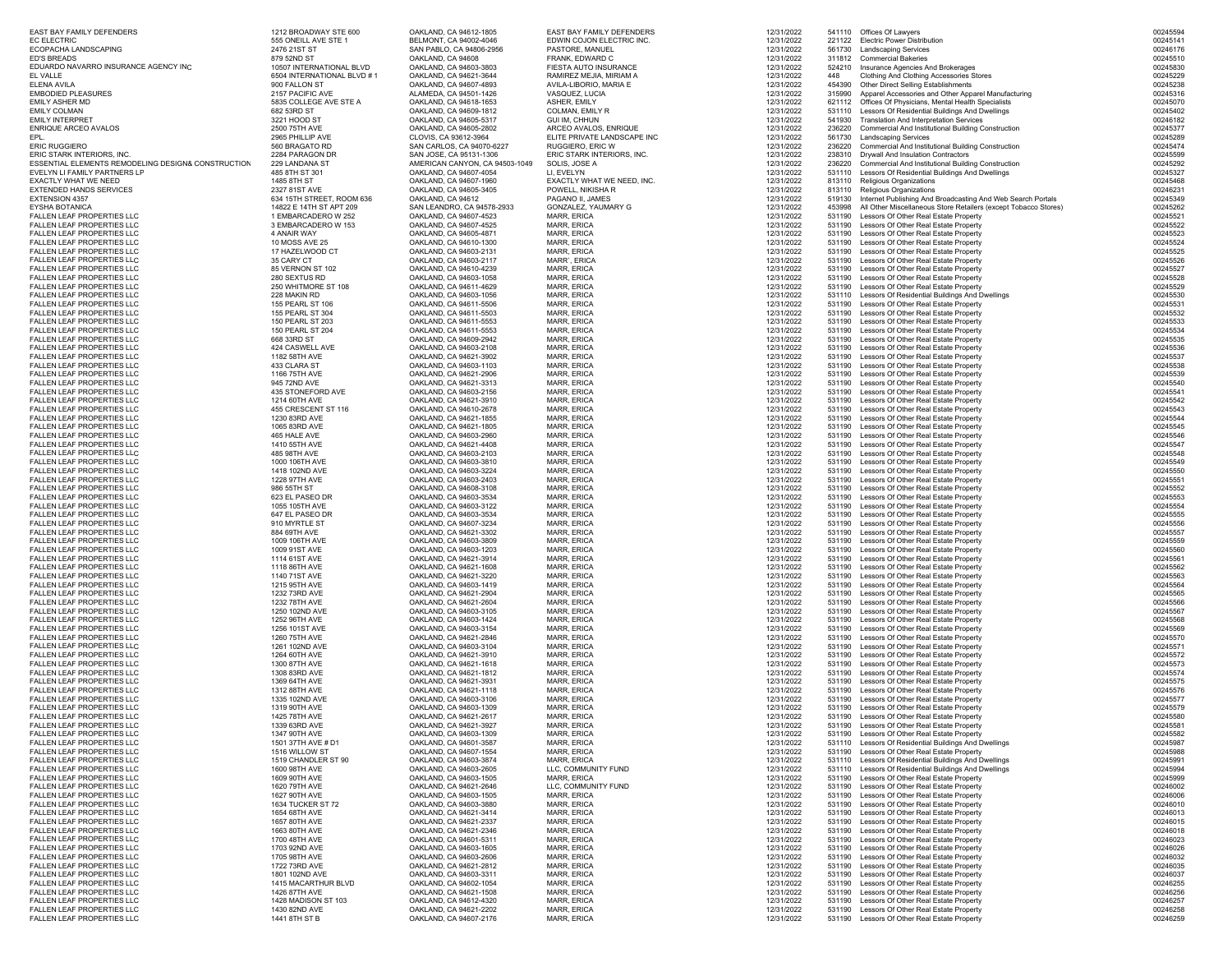| EAST BAY FAMILY DEFENDERS<br>EC ELECTRIC                        | 1212 BROADWAY STE 600<br>555 ONEILL AVE STE 1  | OAKLAND, CA 94612-1805<br>BELMONT, CA 94002-4046       | EAST BAY FAMILY DEFENDERS<br>EDWIN COJON ELECTRIC INC. | 12/31/2022<br>12/31/2022 |                  | 541110 Offices Of Lawyers<br>221122 Electric Power Distribution                                          | 00245594<br>00245141 |
|-----------------------------------------------------------------|------------------------------------------------|--------------------------------------------------------|--------------------------------------------------------|--------------------------|------------------|----------------------------------------------------------------------------------------------------------|----------------------|
| ECOPACHA LANDSCAPING                                            | 2476 21ST ST                                   | SAN PABLO, CA 94806-2956                               | PASTORE, MANUEL                                        | 12/31/2022               | 561730           | <b>Landscaping Services</b>                                                                              | 00246176             |
| ED'S BREADS                                                     | 879 52ND ST<br>10507 INTERNATIONAL BLVD        | OAKLAND, CA 94608                                      | FRANK, EDWARD C                                        | 12/31/2022               | 311812           | <b>Commercial Bakeries</b>                                                                               | 00245510             |
| EDUARDO NAVARRO INSURANCE AGENCY INC<br>EL VALLE                | 6504 INTERNATIONAL BLVD #1                     | OAKLAND, CA 94603-3803<br>OAKLAND, CA 94621-3644       | FIESTA AUTO INSURANCE<br>RAMIREZ MEJIA, MIRIAM A       | 12/31/2022<br>12/31/2022 | 524210<br>448    | Insurance Agencies And Brokerages<br>Clothing And Clothing Accessories Stores                            | 00245830<br>00245229 |
| ELENA AVILA                                                     | 900 FALLON ST                                  | OAKLAND, CA 94607-4893                                 | AVILA-LIBORIO, MARIA E                                 | 12/31/2022               | 454390           | Other Direct Selling Establishments                                                                      | 00245238             |
| EMBODIED PLEASURES                                              | 2157 PACIFIC AVE<br>5835 COLLEGE AVE STE A     | ALAMEDA, CA 94501-1426                                 | VASQUEZ, LUCIA                                         | 12/31/2022               | 315990           | Apparel Accessories and Other Apparel Manufacturing                                                      | 00245316             |
| EMILY ASHER MD<br>EMILY COLMAN                                  | 682 53RD ST                                    | OAKLAND, CA 94618-1653<br>OAKLAND, CA 94609-1812       | ASHER, EMILY<br>COLMAN, EMILY R                        | 12/31/2022<br>12/31/2022 | 621112<br>531110 | Offices Of Physicians, Mental Health Specialists<br>Lessors Of Residential Buildings And Dwellings       | 00245070<br>00245402 |
| EMILY INTERPRET                                                 | 3221 HOOD ST                                   | OAKLAND, CA 94605-5317                                 | GUI IM, CHHUN                                          | 12/31/2022               | 541930           | Translation And Interpretation Services                                                                  | 00246182             |
| ENRIQUE ARCEO AVALOS                                            | 2500 75TH AVE                                  | OAKLAND, CA 94605-2802                                 | ARCEO AVALOS, ENRIQUE                                  | 12/31/2022               | 236220           | Commercial And Institutional Building Construction                                                       | 00245377             |
| EPL.<br>ERIC RUGGIERO                                           | 2965 PHILLIP AVE<br>560 BRAGATO RD             | CLOVIS, CA 93612-3964<br>SAN CARLOS, CA 94070-6227     | ELITE PRIVATE LANDSCAPE INC<br>RUGGIERO, ERIC W        | 12/31/2022<br>12/31/2022 | 561730<br>236220 | <b>Landscaping Services</b><br>Commercial And Institutional Building Construction                        | 00245289<br>00245474 |
| ERIC STARK INTERIORS, INC.                                      | 2284 PARAGON DR                                | SAN JOSE, CA 95131-1306                                | ERIC STARK INTERIORS, INC.                             | 12/31/2022               | 238310           | Drywall And Insulation Contractors                                                                       | 00245599             |
| ESSENTIAL ELEMENTS REMODELING DESIGN& CONSTRUCTION              | 229 LANDANA ST                                 | AMERICAN CANYON, CA 94503-1049                         | SOLIS, JOSE A                                          | 12/31/2022               | 236220           | Commercial And Institutional Building Construction                                                       | 00245292             |
| EVELYN LI FAMILY PARTNERS LP<br>EXACTLY WHAT WE NEED            | 485 8TH ST 301<br>1485 8TH ST                  | OAKLAND, CA 94607-4054<br>OAKLAND, CA 94607-1960       | LI, EVELYN<br>EXACTLY WHAT WE NEED, INC.               | 12/31/2022<br>12/31/2022 | 531110<br>813110 | Lessors Of Residential Buildings And Dwellings<br>Religious Organizations                                | 00245327<br>00245468 |
| EXTENDED HANDS SERVICES                                         | 2327 81ST AVE                                  | OAKLAND, CA 94605-3405                                 | POWELL, NIKISHA R                                      | 12/31/2022               | 813110           | Religious Organizations                                                                                  | 00246231             |
| EXTENSION 4357                                                  | 634 15TH STREET, ROOM 636                      | OAKLAND, CA 94612                                      | PAGANO II, JAMES                                       | 12/31/2022               | 519130           | Internet Publishing And Broadcasting And Web Search Portals                                              | 00245349             |
| EYSHA BOTANICA<br>FALLEN LEAF PROPERTIES LLC                    | 14822 E 14TH ST APT 209<br>1 EMBARCADERO W 252 | SAN LEANDRO, CA 94578-2933<br>OAKLAND, CA 94607-4523   | GONZALEZ, YAUMARY G<br><b>MARR, ERICA</b>              | 12/31/2022<br>12/31/2022 | 453998<br>531190 | All Other Miscellaneous Store Retailers (except Tobacco Stores)<br>Lessors Of Other Real Estate Property | 00245262<br>00245521 |
| FALLEN LEAF PROPERTIES LLC                                      | 3 EMBARCADERO W 153                            | OAKLAND, CA 94607-4525                                 | MARR, ERICA                                            | 12/31/2022               |                  | 531190 Lessors Of Other Real Estate Property                                                             | 00245522             |
| FALLEN LEAF PROPERTIES LLC                                      | 4 ANAIR WAY                                    | OAKLAND, CA 94605-4871                                 | MARR, ERICA                                            | 12/31/2022               |                  | 531190 Lessors Of Other Real Estate Property                                                             | 00245523             |
| FALLEN LEAF PROPERTIES LLC                                      | <b>10 MOSS AVE 25</b>                          | OAKLAND, CA 94610-1300                                 | <b>MARR, ERICA</b>                                     | 12/31/2022               |                  | 531190 Lessors Of Other Real Estate Property                                                             | 00245524             |
| FALLEN LEAF PROPERTIES LLC<br>FALLEN LEAF PROPERTIES LLC        | 17 HAZELWOOD CT<br>35 CARY CT                  | OAKLAND, CA 94603-2131<br>OAKLAND, CA 94603-2117       | MARR, ERICA<br>MARR', ERICA                            | 12/31/2022<br>12/31/2022 |                  | 531190 Lessors Of Other Real Estate Property<br>531190 Lessors Of Other Real Estate Property             | 00245525<br>00245526 |
| FALLEN LEAF PROPERTIES LLC                                      | 85 VERNON ST 102                               | OAKLAND, CA 94610-4239                                 | MARR, ERICA                                            | 12/31/2022               |                  | 531190 Lessors Of Other Real Estate Property                                                             | 00245527             |
| FALLEN LEAF PROPERTIES LLC                                      | 280 SEXTUS RD                                  | OAKLAND, CA 94603-1058                                 | <b>MARR, ERICA</b>                                     | 12/31/2022               |                  | 531190 Lessors Of Other Real Estate Property                                                             | 00245528             |
| FALLEN LEAF PROPERTIES LLC<br>FALLEN LEAF PROPERTIES LLC        | 250 WHITMORE ST 108<br>228 MAKIN RD            | OAKLAND, CA 94611-4629                                 | <b>MARR, ERICA</b><br><b>MARR, ERICA</b>               | 12/31/2022               |                  | 531190 Lessors Of Other Real Estate Property                                                             | 00245529<br>00245530 |
| FALLEN LEAF PROPERTIES LLC                                      | 155 PEARL ST 106                               | OAKLAND, CA 94603-1056<br>OAKLAND, CA 94611-5506       | MARR, ERICA                                            | 12/31/2022<br>12/31/2022 |                  | 531110 Lessors Of Residential Buildings And Dwellings<br>531190 Lessors Of Other Real Estate Property    | 00245531             |
| FALLEN LEAF PROPERTIES LLC                                      | 155 PEARL ST 304                               | OAKLAND, CA 94611-5503                                 | MARR, ERICA                                            | 12/31/2022               |                  | 531190 Lessors Of Other Real Estate Property                                                             | 00245532             |
| FALLEN LEAF PROPERTIES LLC                                      | 150 PEARL ST 203                               | OAKLAND, CA 94611-5553                                 | <b>MARR, ERICA</b>                                     | 12/31/2022               |                  | 531190 Lessors Of Other Real Estate Property                                                             | 00245533             |
| FALLEN LEAF PROPERTIES LLC<br>FALLEN LEAF PROPERTIES LLC        | 150 PEARL ST 204<br>668 33RD ST                | OAKLAND, CA 94611-5553<br>OAKLAND, CA 94609-2942       | <b>MARR, ERICA</b><br>MARR, ERICA                      | 12/31/2022<br>12/31/2022 | 531190           | 531190 Lessors Of Other Real Estate Property<br>Lessors Of Other Real Estate Property                    | 00245534<br>00245535 |
| FALLEN LEAF PROPERTIES LLC                                      | 424 CASWELL AVE                                | OAKLAND, CA 94603-2108                                 | <b>MARR, ERICA</b>                                     | 12/31/2022               |                  | 531190 Lessors Of Other Real Estate Property                                                             | 00245536             |
| FALLEN LEAF PROPERTIES LLC                                      | 1182 58TH AVE                                  | OAKLAND, CA 94621-3902                                 | <b>MARR, ERICA</b>                                     | 12/31/2022               |                  | 531190 Lessors Of Other Real Estate Property                                                             | 00245537             |
| FALLEN LEAF PROPERTIES LLC                                      | 433 CLARA ST                                   | OAKLAND, CA 94603-1103                                 | <b>MARR, ERICA</b>                                     | 12/31/2022               |                  | 531190 Lessors Of Other Real Estate Property                                                             | 00245538             |
| FALLEN LEAF PROPERTIES LLC<br>FALLEN LEAF PROPERTIES LLC        | 1166 75TH AVE<br>945 72ND AVE                  | OAKLAND, CA 94621-2906<br>OAKLAND, CA 94621-3313       | MARR, ERICA<br>MARR, ERICA                             | 12/31/2022<br>12/31/2022 |                  | 531190 Lessors Of Other Real Estate Property<br>531190 Lessors Of Other Real Estate Property             | 00245539<br>00245540 |
| FALLEN LEAF PROPERTIES LLC                                      | 435 STONEFORD AVE                              | OAKLAND, CA 94603-2156                                 | <b>MARR, ERICA</b>                                     | 12/31/2022               |                  | 531190 Lessors Of Other Real Estate Property                                                             | 00245541             |
| FALLEN LEAF PROPERTIES LLC                                      | 1214 60TH AVE                                  | OAKLAND, CA 94621-3910                                 | <b>MARR, ERICA</b>                                     | 12/31/2022               |                  | 531190 Lessors Of Other Real Estate Property                                                             | 00245542             |
| FALLEN LEAF PROPERTIES LLC<br>FALLEN LEAF PROPERTIES LLC        | 455 CRESCENT ST 116<br>1230 83RD AVE           | OAKLAND, CA 94610-2678<br>OAKLAND, CA 94621-1855       | MARR, ERICA<br><b>MARR, ERICA</b>                      | 12/31/2022<br>12/31/2022 |                  | 531190 Lessors Of Other Real Estate Property<br>531190 Lessors Of Other Real Estate Property             | 00245543<br>00245544 |
| FALLEN LEAF PROPERTIES LLC                                      | 1065 83RD AVE                                  | OAKLAND, CA 94621-1805                                 | <b>MARR, ERICA</b>                                     | 12/31/2022               |                  | 531190 Lessors Of Other Real Estate Property                                                             | 00245545             |
| FALLEN LEAF PROPERTIES LLC                                      | 465 HALE AVE                                   | OAKLAND, CA 94603-2960                                 | <b>MARR, ERICA</b>                                     | 12/31/2022               |                  | 531190 Lessors Of Other Real Estate Property                                                             | 00245546             |
| FALLEN LEAF PROPERTIES LLC<br>FALLEN LEAF PROPERTIES LLC        | 1410 55TH AVE<br>485 98TH AVE                  | OAKLAND, CA 94621-4408<br>OAKLAND, CA 94603-2103       | MARR, ERICA<br>MARR, ERICA                             | 12/31/2022               |                  | 531190 Lessors Of Other Real Estate Property<br>531190 Lessors Of Other Real Estate Property             | 00245547<br>00245548 |
| FALLEN LEAF PROPERTIES LLC                                      | 1000 106TH AVE                                 | OAKLAND, CA 94603-3810                                 | <b>MARR, ERICA</b>                                     | 12/31/2022<br>12/31/2022 |                  | 531190 Lessors Of Other Real Estate Property                                                             | 00245549             |
| FALLEN LEAF PROPERTIES LLC                                      | 1418 102ND AVE                                 | OAKLAND, CA 94603-3224                                 | <b>MARR, ERICA</b>                                     | 12/31/2022               |                  | 531190 Lessors Of Other Real Estate Property                                                             | 00245550             |
| FALLEN LEAF PROPERTIES LLC                                      | 1228 97TH AVE                                  | OAKLAND, CA 94603-2403                                 | <b>MARR, ERICA</b>                                     | 12/31/2022               |                  | 531190 Lessors Of Other Real Estate Property                                                             | 00245551             |
| FALLEN LEAF PROPERTIES LLC<br>FALLEN LEAF PROPERTIES LLC        | 986 55TH ST<br>623 EL PASEO DR                 | OAKLAND, CA 94608-3108<br>OAKLAND, CA 94603-3534       | MARR, ERICA<br><b>MARR, ERICA</b>                      | 12/31/2022<br>12/31/2022 |                  | 531190 Lessors Of Other Real Estate Property<br>531190 Lessors Of Other Real Estate Property             | 00245552<br>00245553 |
| FALLEN LEAF PROPERTIES LLC                                      | 1055 105TH AVE                                 | OAKLAND, CA 94603-3122                                 | <b>MARR, ERICA</b>                                     | 12/31/2022               |                  | 531190 Lessors Of Other Real Estate Property                                                             | 00245554             |
| FALLEN LEAF PROPERTIES LLC                                      | 647 EL PASEO DR                                | OAKLAND, CA 94603-3534                                 | <b>MARR, ERICA</b>                                     | 12/31/2022               |                  | 531190 Lessors Of Other Real Estate Property                                                             | 00245555             |
| FALLEN LEAF PROPERTIES LLC<br>FALLEN LEAF PROPERTIES LLC        | 910 MYRTLE ST<br>884 69TH AVE                  | OAKLAND, CA 94607-3234<br>OAKLAND, CA 94621-3302       | MARR, ERICA<br>MARR, ERICA                             | 12/31/2022               |                  | 531190 Lessors Of Other Real Estate Property<br>531190 Lessors Of Other Real Estate Property             | 00245556<br>00245557 |
| FALLEN LEAF PROPERTIES LLC                                      | 1009 106TH AVE                                 | OAKLAND, CA 94603-3809                                 | <b>MARR, ERICA</b>                                     | 12/31/2022<br>12/31/2022 |                  | 531190 Lessors Of Other Real Estate Property                                                             | 00245559             |
| FALLEN LEAF PROPERTIES LLC                                      | 1009 91ST AVE                                  | OAKLAND, CA 94603-1203                                 | <b>MARR, ERICA</b>                                     | 12/31/2022               |                  | 531190 Lessors Of Other Real Estate Property                                                             | 00245560             |
| FALLEN LEAF PROPERTIES LLC                                      | 1114 61ST AVE                                  | OAKLAND, CA 94621-3914                                 | MARR, ERICA                                            | 12/31/2022               |                  | 531190 Lessors Of Other Real Estate Property                                                             | 00245561             |
| FALLEN LEAF PROPERTIES LLC<br>FALLEN LEAF PROPERTIES LLC        | 1118 86TH AVE<br>1140 71ST AVE                 | OAKLAND, CA 94621-1608<br>OAKLAND, CA 94621-3220       | <b>MARR, ERICA</b><br><b>MARR, ERICA</b>               | 12/31/2022<br>12/31/2022 |                  | 531190 Lessors Of Other Real Estate Property<br>531190 Lessors Of Other Real Estate Property             | 00245562<br>00245563 |
| FALLEN LEAF PROPERTIES LLC                                      | 1215 95TH AVE                                  | OAKLAND, CA 94603-1419                                 | <b>MARR, ERICA</b>                                     | 12/31/2022               | 531190           | Lessors Of Other Real Estate Property                                                                    | 00245564             |
| FALLEN LEAF PROPERTIES LLC                                      | 1232 73RD AVE                                  | OAKLAND, CA 94621-2904                                 | MARR, ERICA                                            | 12/31/2022               |                  | 531190 Lessors Of Other Real Estate Property                                                             | 00245565             |
| FALLEN LEAF PROPERTIES LLC<br>FALLEN LEAF PROPERTIES LLC        | 1232 78TH AVE<br>1250 102ND AVE                | OAKLAND, CA 94621-2604<br>OAKLAND, CA 94603-3105       | MARR, ERICA<br><b>MARR, ERICA</b>                      | 12/31/2022<br>12/31/2022 |                  | 531190 Lessors Of Other Real Estate Property<br>531190 Lessors Of Other Real Estate Property             | 00245566<br>00245567 |
| FALLEN LEAF PROPERTIES LLC                                      | 1252 96TH AVE                                  | OAKLAND, CA 94603-1424                                 | <b>MARR, ERICA</b>                                     | 12/31/2022               |                  | 531190 Lessors Of Other Real Estate Property                                                             | 00245568             |
| FALLEN LEAF PROPERTIES LLC                                      | 1256 101ST AVE                                 | OAKLAND, CA 94603-3154                                 | MARR, ERICA                                            | 12/31/2022               |                  | 531190 Lessors Of Other Real Estate Property                                                             | 00245569             |
| FALLEN LEAF PROPERTIES LLC<br>FALLEN LEAF PROPERTIES LLC        | 1260 75TH AVE<br>1261 102ND AVE                | OAKLAND, CA 94621-2846<br>OAKLAND, CA 94603-3104       | MARR, ERICA<br><b>MARR, ERICA</b>                      | 12/31/2022<br>12/31/2022 | 531190           | 531190 Lessors Of Other Real Estate Property<br>Lessors Of Other Real Estate Property                    | 00245570<br>00245571 |
| FALLEN LEAF PROPERTIES LLC                                      | 1264 60TH AVE                                  | OAKLAND, CA 94621-3910                                 | <b>MARR, ERICA</b>                                     | 12/31/2022               | 531190           | Lessors Of Other Real Estate Property                                                                    | 00245572             |
| FALLEN LEAF PROPERTIES LLC                                      | 1300 87TH AVE                                  | OAKLAND, CA 94621-1618                                 | MARR, ERICA                                            | 12/31/2022               |                  | 531190 Lessors Of Other Real Estate Property                                                             | 00245573             |
| FALLEN LEAF PROPERTIES LLC<br>FALLEN LEAF PROPERTIES LLC        | 1308 83RD AVE<br>1369 64TH AVE                 | OAKLAND, CA 94621-1812<br>OAKLAND, CA 94621-3931       | <b>MARR, ERICA</b><br><b>MARR, ERICA</b>               | 12/31/2022<br>12/31/2022 |                  | 531190 Lessors Of Other Real Estate Property<br>531190 Lessors Of Other Real Estate Property             | 00245574<br>00245575 |
| FALLEN LEAF PROPERTIES LLC                                      | 1312 88TH AVE                                  | OAKLAND, CA 94621-1118                                 | <b>MARR, ERICA</b>                                     | 12/31/2022               |                  | 531190 Lessors Of Other Real Estate Property                                                             | 00245576             |
| FALLEN LEAF PROPERTIES LLC                                      | 1335 102ND AVE                                 | OAKLAND, CA 94603-3106                                 | <b>MARR, ERICA</b>                                     | 12/31/2022               |                  | 531190 Lessors Of Other Real Estate Property                                                             | 00245577             |
| FALLEN LEAF PROPERTIES LLC                                      | 1319 90TH AVE                                  | OAKLAND, CA 94603-1309                                 | <b>MARR, ERICA</b>                                     | 12/31/2022               |                  | 531190 Lessors Of Other Real Estate Property                                                             | 00245579             |
| FALLEN LEAF PROPERTIES LLC<br>FALLEN LEAF PROPERTIES LLC        | 1425 78TH AVE<br>1339 63RD AVE                 | OAKLAND, CA 94621-2617<br>OAKLAND, CA 94621-3927       | MARR, ERICA<br>MARR, ERICA                             | 12/31/2022<br>12/31/2022 |                  | 531190 Lessors Of Other Real Estate Propert<br>531190 Lessors Of Other Real Estate Property              | 00245580<br>00245581 |
| FALLEN LEAF PROPERTIES LLC                                      | 1347 90TH AVE                                  | OAKLAND, CA 94603-1309                                 | <b>MARR, ERICA</b>                                     | 12/31/2022               |                  | 531190 Lessors Of Other Real Estate Property                                                             | 00245582             |
| FALLEN LEAF PROPERTIES LLC                                      | 1501 37TH AVE # D1                             | OAKLAND, CA 94601-3587                                 | MARR, ERICA                                            | 12/31/2022               |                  | 531110 Lessors Of Residential Buildings And Dwellings                                                    | 00245987             |
| FALLEN LEAF PROPERTIES LLC<br>FALLEN LEAF PROPERTIES LLC        | 1516 WILLOW ST<br>1519 CHANDLER ST 90          | OAKLAND, CA 94607-1554<br>OAKLAND, CA 94603-3874       | MARR, ERICA<br>MARR, ERICA                             | 12/31/2022               |                  | 531190 Lessors Of Other Real Estate Property<br>531110 Lessors Of Residential Buildings And Dwellings    | 00245988<br>00245991 |
| FALLEN LEAF PROPERTIES LLC                                      | 1600 98TH AVE                                  | OAKLAND, CA 94603-2605                                 | LLC. COMMUNITY FUND                                    | 12/31/2022<br>12/31/2022 |                  | 531110 Lessors Of Residential Buildings And Dwellings                                                    | 00245994             |
| FALLEN LEAF PROPERTIES LLC                                      | 1609 90TH AVE                                  | OAKLAND, CA 94603-1505                                 | MARR, ERICA                                            | 12/31/2022               |                  | 531190 Lessors Of Other Real Estate Property                                                             | 00245999             |
| FALLEN LEAF PROPERTIES LLC                                      | 1620 79TH AVE                                  | OAKLAND, CA 94621-2646                                 | LLC, COMMUNITY FUND                                    | 12/31/2022               |                  | 531190 Lessors Of Other Real Estate Property                                                             | 00246002             |
| FALLEN LEAF PROPERTIES LLC<br>FALLEN LEAF PROPERTIES LLC        | 1627 90TH AVE<br>1634 TUCKER ST 72             | OAKLAND, CA 94603-1505<br>OAKLAND, CA 94603-3880       | MARR, ERICA<br><b>MARR, ERICA</b>                      | 12/31/2022<br>12/31/2022 |                  | 531190 Lessors Of Other Real Estate Property<br>531190 Lessors Of Other Real Estate Property             | 00246006<br>00246010 |
| FALLEN LEAF PROPERTIES LLC                                      | 1654 68TH AVE                                  | OAKLAND, CA 94621-3414                                 | MARR, ERICA                                            | 12/31/2022               |                  | 531190 Lessors Of Other Real Estate Property                                                             | 00246013             |
| FALLEN LEAF PROPERTIES LLC                                      | 1657 80TH AVE                                  | OAKLAND, CA 94621-2337                                 | MARR, ERICA                                            | 12/31/2022               |                  | 531190 Lessors Of Other Real Estate Property                                                             | 00246015             |
| FALLEN LEAF PROPERTIES LLC                                      | 1663 80TH AVE<br>1700 48TH AVE                 | OAKLAND, CA 94621-2346                                 | MARR, ERICA                                            | 12/31/2022               |                  | 531190 Lessors Of Other Real Estate Property<br>531190 Lessors Of Other Real Estate Property             | 00246018<br>00246023 |
| FALLEN LEAF PROPERTIES LLC<br>FALLEN LEAF PROPERTIES LLC        | 1703 92ND AVE                                  | OAKLAND, CA 94601-5311<br>OAKLAND, CA 94603-1605       | MARR, ERICA<br>MARR, ERICA                             | 12/31/2022<br>12/31/2022 |                  | 531190 Lessors Of Other Real Estate Property                                                             | 00246026             |
| FALLEN LEAF PROPERTIES LLC                                      | 1705 98TH AVE                                  | OAKLAND, CA 94603-2606                                 | MARR, ERICA                                            | 12/31/2022               |                  | 531190 Lessors Of Other Real Estate Property                                                             | 00246032             |
| FALLEN LEAF PROPERTIES LLC                                      | 1722 73RD AVE                                  | OAKLAND, CA 94621-2812                                 | MARR, ERICA                                            | 12/31/2022               |                  | 531190 Lessors Of Other Real Estate Property                                                             | 00246035             |
| FALLEN LEAF PROPERTIES LLC<br>FALLEN LEAF PROPERTIES LLC        | 1801 102ND AVE<br>1415 MACARTHUR BLVD          | OAKLAND, CA 94603-3311<br>OAKLAND, CA 94602-1054       | <b>MARR, ERICA</b><br>MARR, ERICA                      | 12/31/2022<br>12/31/2022 |                  | 531190 Lessors Of Other Real Estate Property<br>531190 Lessors Of Other Real Estate Property             | 00246037<br>00246255 |
| FALLEN LEAF PROPERTIES LLC                                      | 1426 87TH AVE                                  | OAKLAND, CA 94621-1508                                 | MARR, ERICA                                            | 12/31/2022               |                  | 531190 Lessors Of Other Real Estate Property                                                             | 00246256             |
| FALLEN LEAF PROPERTIES LLC                                      | 1428 MADISON ST 103                            | OAKLAND, CA 94612-4320                                 | <b>MARR, ERICA</b>                                     | 12/31/2022               |                  | 531190 Lessors Of Other Real Estate Property                                                             | 00246257             |
| FALLEN LEAF PROPERTIES LLC<br><b>EALLEN LEAF PROPERTIES LLC</b> | 1430 82ND AVE<br><b>1441 STH ST B</b>          | OAKLAND, CA 94621-2202<br><b>OAKLAND CA 94607-2176</b> | MARR, ERICA<br>MARR ERICI                              | 12/31/2022<br>12/31/2022 |                  | 531190 Lessors Of Other Real Estate Property<br>531190   Lecore Of Other Real Fetate Propert             | 00246258<br>00246259 |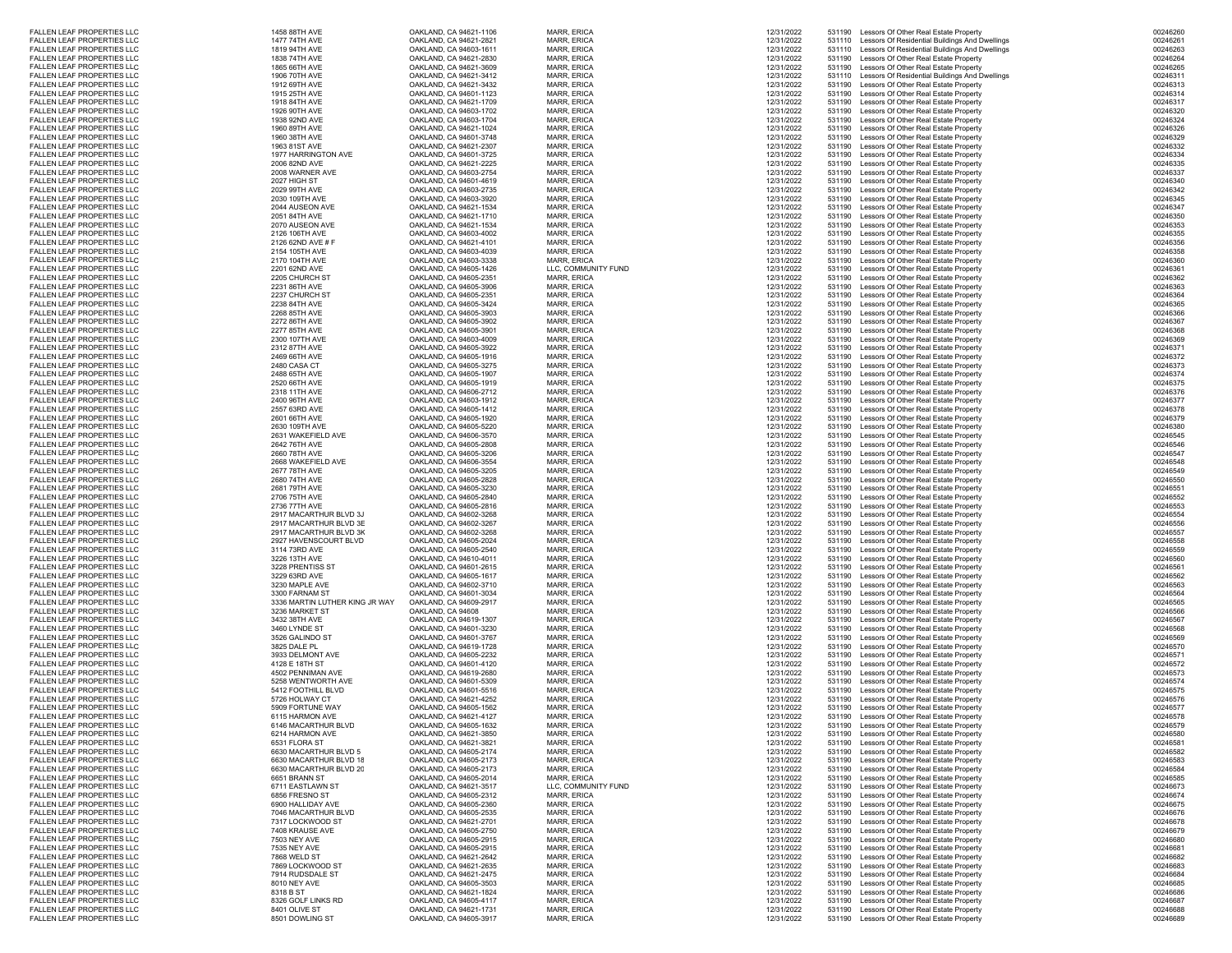| FALLEN LEAF PROPERTIES LLC                               | 1458 88TH AVE                                    | OAKLAND, CA 94621-1106                           | <b>MARR, ERICA</b>                | 12/31/2022               |                  | 531190 Lessors Of Other Real Estate Property                                                 | 00246260             |
|----------------------------------------------------------|--------------------------------------------------|--------------------------------------------------|-----------------------------------|--------------------------|------------------|----------------------------------------------------------------------------------------------|----------------------|
| FALLEN LEAF PROPERTIES LLC                               | 1477 74TH AVE                                    | OAKLAND, CA 94621-2821                           | MARR, ERICA                       | 12/31/2022               |                  | 531110 Lessors Of Residential Buildings And Dwellings                                        | 00246261             |
| FALLEN LEAF PROPERTIES LLC                               | 1819 94TH AVE                                    | OAKLAND, CA 94603-1611                           | MARR, ERICA                       | 12/31/2022               | 531110           | Lessors Of Residential Buildings And Dwellings                                               | 00246263             |
| FALLEN LEAF PROPERTIES LLC                               | 1838 74TH AVE                                    | OAKLAND, CA 94621-2830                           | <b>MARR, ERICA</b>                | 12/31/2022               |                  | 531190 Lessors Of Other Real Estate Property                                                 | 00246264             |
| FALLEN LEAF PROPERTIES LLC                               | 1865 66TH AVE                                    | OAKLAND, CA 94621-3609                           | <b>MARR, ERICA</b>                | 12/31/2022               | 531190           | Lessors Of Other Real Estate Property                                                        | 00246265             |
| FALLEN LEAF PROPERTIES LLC                               | 1906 70TH AVE                                    | OAKLAND, CA 94621-3412                           | MARR, ERICA                       | 12/31/2022               |                  | 531110 Lessors Of Residential Buildings And Dwellings                                        | 00246311             |
| FALLEN LEAF PROPERTIES LLC                               | 1912 69TH AVE                                    | OAKLAND, CA 94621-3432                           | <b>MARR, ERICA</b>                | 12/31/2022               | 531190           | Lessors Of Other Real Estate Property                                                        | 00246313             |
| FALLEN LEAF PROPERTIES LLC                               | 1915 25TH AVE                                    | OAKLAND, CA 94601-1123                           | MARR, ERICA                       | 12/31/2022               |                  | 531190 Lessors Of Other Real Estate Property                                                 | 00246314             |
| FALLEN LEAF PROPERTIES LLC                               | 1918 84TH AVE                                    | OAKLAND, CA 94621-1709                           | <b>MARR, ERICA</b>                | 12/31/2022               |                  | 531190 Lessors Of Other Real Estate Property                                                 | 00246317             |
| FALLEN LEAF PROPERTIES LLC                               | 1926 90TH AVE                                    | OAKLAND, CA 94603-1702<br>OAKLAND, CA 94603-1704 | <b>MARR, ERICA</b><br>MARR, ERICA | 12/31/2022               |                  | 531190 Lessors Of Other Real Estate Property<br>531190 Lessors Of Other Real Estate Property | 00246320             |
| FALLEN LEAF PROPERTIES LLC<br>FALLEN LEAF PROPERTIES LLC | 1938 92ND AVE<br>1960 89TH AVE                   | OAKLAND, CA 94621-1024                           | <b>MARR, ERICA</b>                | 12/31/2022<br>12/31/2022 |                  | 531190 Lessors Of Other Real Estate Property                                                 | 00246324<br>00246326 |
| FALLEN LEAF PROPERTIES LLC                               | 1960 38TH AVE                                    | OAKLAND, CA 94601-3748                           | MARR, ERICA                       | 12/31/2022               |                  | 531190 Lessors Of Other Real Estate Property                                                 | 00246329             |
| FALLEN LEAF PROPERTIES LLC                               | 1963 81ST AVE                                    | OAKLAND, CA 94621-2307                           | MARR, ERICA                       | 12/31/2022               |                  | 531190 Lessors Of Other Real Estate Property                                                 | 00246332             |
| FALLEN LEAF PROPERTIES LLC                               | 1977 HARRINGTON AVE                              | OAKLAND, CA 94601-3725                           | MARR. FRICA                       | 12/31/2022               |                  | 531190 Lessors Of Other Real Estate Property                                                 | 00246334             |
| FALLEN LEAF PROPERTIES LLC                               | 2006 82ND AVE                                    | OAKLAND, CA 94621-2225                           | MARR, ERICA                       | 12/31/2022               |                  | 531190 Lessors Of Other Real Estate Property                                                 | 00246335             |
| FALLEN LEAF PROPERTIES LLC                               | 2008 WARNER AVE                                  | OAKLAND, CA 94603-2754                           | MARR, ERICA                       | 12/31/2022               | 531190           | Lessors Of Other Real Estate Property                                                        | 00246337             |
| FALLEN LEAF PROPERTIES LLC                               | 2027 HIGH ST                                     | OAKLAND, CA 94601-4619                           | MARR, ERICA                       | 12/31/2022               |                  | 531190 Lessors Of Other Real Estate Property                                                 | 00246340             |
| FALLEN LEAF PROPERTIES LLC                               | 2029 99TH AVE                                    | OAKLAND, CA 94603-2735                           | MARR, ERICA                       | 12/31/2022               | 531190           | Lessors Of Other Real Estate Property                                                        | 00246342             |
| FALLEN LEAF PROPERTIES LLC                               | 2030 109TH AVE                                   | OAKLAND, CA 94603-3920                           | <b>MARR, ERICA</b>                | 12/31/2022               | 531190           | Lessors Of Other Real Estate Property                                                        | 00246345             |
| FALLEN LEAF PROPERTIES LLC                               | 2044 AUSEON AVE                                  | OAKLAND, CA 94621-1534                           | MARR, ERICA                       | 12/31/2022               | 531190           | Lessors Of Other Real Estate Property                                                        | 00246347             |
| FALLEN LEAF PROPERTIES LLC                               | 2051 84TH AVE                                    | OAKLAND, CA 94621-1710                           | MARR, ERICA                       | 12/31/2022               | 531190           | Lessors Of Other Real Estate Property                                                        | 00246350             |
| FALLEN LEAF PROPERTIES LLC                               | 2070 AUSEON AVE                                  | OAKLAND, CA 94621-1534                           | <b>MARR, ERICA</b>                | 12/31/2022               | 531190           | Lessors Of Other Real Estate Property                                                        | 00246353             |
| FALLEN LEAF PROPERTIES LLC                               | 2126 106TH AVE                                   | OAKLAND, CA 94603-4002                           | MARR, ERICA<br><b>MARR, ERICA</b> | 12/31/2022               |                  | 531190 Lessors Of Other Real Estate Property                                                 | 00246355<br>00246356 |
| FALLEN LEAF PROPERTIES LLC<br>FALLEN LEAF PROPERTIES LLC | 2126 62ND AVE # F<br>2154 105TH AVE              | OAKLAND, CA 94621-4101                           | MARR, ERICA                       | 12/31/2022               |                  | 531190 Lessors Of Other Real Estate Property<br>531190 Lessors Of Other Real Estate Property |                      |
|                                                          |                                                  | OAKLAND, CA 94603-4039                           | <b>MARR, ERICA</b>                | 12/31/2022<br>12/31/2022 |                  | 531190 Lessors Of Other Real Estate Property                                                 | 00246358             |
| FALLEN LEAF PROPERTIES LLC<br>FALLEN LEAF PROPERTIES LLC | 2170 104TH AVE<br>2201 62ND AVE                  | OAKLAND, CA 94603-3338<br>OAKLAND, CA 94605-1426 | LLC, COMMUNITY FUND               | 12/31/2022               |                  | 531190 Lessors Of Other Real Estate Property                                                 | 00246360<br>0024636  |
| FALLEN LEAF PROPERTIES LLC                               | 2205 CHURCH ST                                   | OAKLAND, CA 94605-2351                           | MARR, ERICA                       | 12/31/2022               |                  | 531190 Lessors Of Other Real Estate Property                                                 | 00246362             |
| FALLEN LEAF PROPERTIES LLC                               | 2231 86TH AVE                                    | OAKLAND, CA 94605-3906                           | MARR, ERICA                       | 12/31/2022               | 531190           | Lessors Of Other Real Estate Property                                                        | 00246363             |
| FALLEN LEAF PROPERTIES LLC                               | 2237 CHURCH ST                                   | OAKLAND, CA 94605-2351                           | MARR, ERICA                       | 12/31/2022               |                  | 531190 Lessors Of Other Real Estate Property                                                 | 00246364             |
| FALLEN LEAF PROPERTIES LLC                               | 2238 84TH AVE                                    | OAKLAND, CA 94605-3424                           | <b>MARR, ERICA</b>                | 12/31/2022               |                  | 531190 Lessors Of Other Real Estate Property                                                 | 00246365             |
| FALLEN LEAF PROPERTIES LLC                               | 2268 85TH AVE                                    | OAKLAND, CA 94605-3903                           | MARR, ERICA                       | 12/31/2022               |                  | 531190 Lessors Of Other Real Estate Property                                                 | 00246366             |
| FALLEN LEAF PROPERTIES LLC                               | 2272 86TH AVE                                    | OAKLAND, CA 94605-3902                           | MARR, ERICA                       | 12/31/2022               |                  | 531190 Lessors Of Other Real Estate Property                                                 | 00246367             |
| FALLEN LEAF PROPERTIES LLC                               | 2277 85TH AVE                                    | OAKLAND, CA 94605-3901                           | MARR, ERICA                       | 12/31/2022               |                  | 531190 Lessors Of Other Real Estate Property                                                 | 00246368             |
| FALLEN LEAF PROPERTIES LLC                               | 2300 107TH AVE                                   | OAKLAND, CA 94603-4009                           | MARR, ERICA                       | 12/31/2022               |                  | 531190 Lessors Of Other Real Estate Property                                                 | 00246369             |
| FALLEN LEAF PROPERTIES LLC                               | 2312 87TH AVE                                    | OAKLAND, CA 94605-3922                           | <b>MARR, ERICA</b>                | 12/31/2022               | 531190           | Lessors Of Other Real Estate Property                                                        | 00246371             |
| FALLEN LEAF PROPERTIES LLC                               | 2469 66TH AVE                                    | OAKLAND, CA 94605-1916                           | MARR, ERICA                       | 12/31/2022               | 531190           | Lessors Of Other Real Estate Property                                                        | 00246372             |
| FALLEN LEAF PROPERTIES LLC                               | 2480 CASA CT                                     | OAKLAND, CA 94605-3275                           | MARR, ERICA                       | 12/31/2022               | 531190           | Lessors Of Other Real Estate Property                                                        | 00246373             |
| FALLEN LEAF PROPERTIES LLC<br>FALLEN LEAF PROPERTIES LLC | 2488 65TH AVE                                    | OAKLAND, CA 94605-1907                           | <b>MARR, ERICA</b>                | 12/31/2022               | 531190           | Lessors Of Other Real Estate Property                                                        | 00246374             |
| FALLEN LEAF PROPERTIES LLC                               | 2520 66TH AVE<br>2318 11TH AVE                   | OAKLAND, CA 94605-1919<br>OAKLAND, CA 94606-2712 | MARR, ERICA<br>MARR, ERICA        | 12/31/2022<br>12/31/2022 | 531190<br>531190 | Lessors Of Other Real Estate Property<br>Lessors Of Other Real Estate Property               | 00246375<br>00246376 |
| FALLEN LEAF PROPERTIES LLC                               | 2400 96TH AVE                                    | OAKLAND, CA 94603-1912                           | <b>MARR, ERICA</b>                | 12/31/2022               |                  | 531190 Lessors Of Other Real Estate Property                                                 | 00246377             |
| FALLEN LEAF PROPERTIES LLC                               | 2557 63RD AVE                                    | OAKLAND, CA 94605-1412                           | <b>MARR, ERICA</b>                | 12/31/2022               |                  | 531190 Lessors Of Other Real Estate Property                                                 | 00246378             |
| FALLEN LEAF PROPERTIES LLC                               | 2601 66TH AVE                                    | OAKLAND, CA 94605-1920                           | <b>MARR, ERICA</b>                | 12/31/2022               |                  | 531190 Lessors Of Other Real Estate Property                                                 | 00246379             |
| FALLEN LEAF PROPERTIES LLC                               | 2630 109TH AVE                                   | OAKLAND, CA 94605-5220                           | MARR, ERICA                       | 12/31/2022               |                  | 531190 Lessors Of Other Real Estate Property                                                 | 00246380             |
| FALLEN LEAF PROPERTIES LLC                               | 2631 WAKEFIELD AVE                               | OAKLAND, CA 94606-3570                           | MARR, ERICA                       | 12/31/2022               |                  | 531190 Lessors Of Other Real Estate Property                                                 | 00246545             |
| FALLEN LEAF PROPERTIES LLC                               | 2642 76TH AVE                                    | OAKLAND, CA 94605-2808                           | MARR FRICA                        | 12/31/2022               |                  | 531190 Lessors Of Other Real Estate Property                                                 | 00246546             |
| FALLEN LEAF PROPERTIES LLC                               | 2660 78TH AVE                                    | OAKLAND, CA 94605-3206                           | MARR, ERICA                       | 12/31/2022               |                  | 531190 Lessors Of Other Real Estate Property                                                 | 00246547             |
| FALLEN LEAF PROPERTIES LLC                               | 2668 WAKEFIELD AVE                               | OAKLAND, CA 94606-3554                           | MARR, ERICA                       | 12/31/2022               |                  | 531190 Lessors Of Other Real Estate Property                                                 | 00246548             |
| FALLEN LEAF PROPERTIES LLC                               | 2677 78TH AVE                                    | OAKLAND, CA 94605-3205                           | MARR, ERICA                       | 12/31/2022               |                  | 531190 Lessors Of Other Real Estate Property                                                 | 00246549             |
| FALLEN LEAF PROPERTIES LLC                               | 2680 74TH AVE                                    | OAKLAND, CA 94605-2828                           | MARR, ERICA                       | 12/31/2022               |                  | 531190 Lessors Of Other Real Estate Property                                                 | 00246550             |
| FALLEN LEAF PROPERTIES LLC                               | 2681 79TH AVE                                    | OAKLAND, CA 94605-3230                           | <b>MARR, ERICA</b>                | 12/31/2022               |                  | 531190 Lessors Of Other Real Estate Property                                                 | 00246551             |
| FALLEN LEAF PROPERTIES LLC                               | 2706 75TH AVE                                    | OAKLAND, CA 94605-2840                           | <b>MARR, ERICA</b>                | 12/31/2022               |                  | 531190 Lessors Of Other Real Estate Property                                                 | 00246552             |
| FALLEN LEAF PROPERTIES LLC                               | 2736 77TH AVE                                    | OAKLAND, CA 94605-2816                           | MARR, ERICA<br>MARR, ERICA        | 12/31/2022               | 531190           | Lessors Of Other Real Estate Property                                                        | 00246553             |
| FALLEN LEAF PROPERTIES LLC<br>FALLEN LEAF PROPERTIES LLC | 2917 MACARTHUR BLVD 3J<br>2917 MACARTHUR BLVD 3E | OAKLAND, CA 94602-3268<br>OAKLAND, CA 94602-3267 | MARR, ERICA                       | 12/31/2022<br>12/31/2022 |                  | 531190 Lessors Of Other Real Estate Property<br>531190 Lessors Of Other Real Estate Property | 00246554<br>00246556 |
| FALLEN LEAF PROPERTIES LLC                               | 2917 MACARTHUR BLVD 3K                           | OAKLAND, CA 94602-3268                           | MARR, ERICA                       | 12/31/2022               |                  | 531190 Lessors Of Other Real Estate Property                                                 | 00246557             |
| FALLEN LEAF PROPERTIES LLC                               | 2927 HAVENSCOURT BLVD                            | OAKLAND, CA 94605-2024                           | MARR, ERICA                       | 12/31/2022               |                  | 531190 Lessors Of Other Real Estate Property                                                 | 00246558             |
| FALLEN LEAF PROPERTIES LLC                               | 3114 73RD AVE                                    | OAKLAND, CA 94605-2540                           | <b>MARR, ERICA</b>                | 12/31/2022               |                  | 531190 Lessors Of Other Real Estate Property                                                 | 00246559             |
| FALLEN LEAF PROPERTIES LLC                               | 3226 13TH AVE                                    | OAKLAND, CA 94610-4011                           | MARR, ERICA                       | 12/31/2022               |                  | 531190 Lessors Of Other Real Estate Property                                                 | 00246560             |
| FALLEN LEAF PROPERTIES LLC                               | 3228 PRENTISS ST                                 | OAKLAND, CA 94601-2615                           | <b>MARR, ERICA</b>                | 12/31/2022               | 531190           | Lessors Of Other Real Estate Property                                                        | 0024656              |
| FALLEN LEAF PROPERTIES LLC                               | 3229 63RD AVE                                    | OAKLAND, CA 94605-1617                           | MARR, ERICA                       | 12/31/2022               | 531190           | Lessors Of Other Real Estate Property                                                        | 00246562             |
| FALLEN LEAF PROPERTIES LLC                               | 3230 MAPLE AVE                                   | OAKLAND, CA 94602-3710                           | MARR, ERICA                       | 12/31/2022               | 531190           | Lessors Of Other Real Estate Property                                                        | 00246563             |
| FALLEN LEAF PROPERTIES LLC                               | 3300 FARNAM ST                                   | OAKLAND, CA 94601-3034                           | MARR. FRICA                       | 12/31/2022               |                  | 531190 Lessors Of Other Real Estate Property                                                 | 00246564             |
| FALLEN LEAF PROPERTIES LLC                               | 3336 MARTIN LUTHER KING JR WAY                   | OAKLAND, CA 94609-2917                           | MARR, ERICA                       | 12/31/2022               |                  | 531190 Lessors Of Other Real Estate Property                                                 | 00246565             |
| FALLEN LEAF PROPERTIES LLC                               | 3236 MARKET ST                                   | OAKLAND, CA 94608                                | MARR, ERICA                       | 12/31/2022               |                  | 531190 Lessors Of Other Real Estate Property                                                 | 00246566             |
| FALLEN LEAF PROPERTIES LLC<br>FALLEN LEAF PROPERTIES LLC | 3432 38TH AVE<br>3460 LYNDE ST                   | OAKLAND, CA 94619-1307<br>OAKLAND, CA 94601-3230 | MARR, ERICA<br>MARR, ERICA        | 12/31/2022<br>12/31/2022 |                  | 531190 Lessors Of Other Real Estate Property<br>531190 Lessors Of Other Real Estate Property | 00246567<br>00246568 |
| FALLEN LEAF PROPERTIES LLC                               | 3526 GALINDO ST                                  | OAKLAND, CA 94601-3767                           | <b>MARR, ERICA</b>                | 12/31/2022               | 531190           | Lessors Of Other Real Estate Property                                                        | 00246569             |
| FALLEN LEAF PROPERTIES LLC                               | 3825 DALE PL                                     | OAKLAND, CA 94619-1728                           | MARR, ERICA                       | 12/31/2022               | 531190           | Lessors Of Other Real Estate Property                                                        | 00246570             |
| FALLEN LEAF PROPERTIES LLC                               | 3933 DELMONT AVE                                 | OAKLAND, CA 94605-2232                           | MARR, ERICA                       | 12/31/2022               | 531190           | Lessors Of Other Real Estate Property                                                        | 00246571             |
| FALLEN LEAF PROPERTIES LLC                               | 4128 E 18TH ST                                   | OAKLAND, CA 94601-4120                           | <b>MARR, ERICA</b>                | 12/31/2022               |                  | 531190 Lessors Of Other Real Estate Property                                                 | 00246572             |
| FALLEN LEAF PROPERTIES LLC                               | 4502 PENNIMAN AVE                                | OAKLAND, CA 94619-2680                           | <b>MARR, ERICA</b>                | 12/31/2022               |                  | 531190 Lessors Of Other Real Estate Property                                                 | 00246573             |
| FALLEN LEAF PROPERTIES LLC                               | 5258 WENTWORTH AVE                               | OAKLAND, CA 94601-5309                           | MARR, ERICA                       | 12/31/2022               |                  | 531190 Lessors Of Other Real Estate Property                                                 | 00246574             |
| FALLEN LEAF PROPERTIES LLC                               | 5412 FOOTHILL BLVD                               | OAKLAND, CA 94601-5516                           | MARR, ERICA                       | 12/31/2022               |                  | 531190 Lessors Of Other Real Estate Property                                                 | 00246575             |
| FALLEN LEAF PROPERTIES LLC                               | 5726 HOLWAY CT                                   | OAKLAND, CA 94621-4252                           | MARR, ERICA                       | 12/31/2022               |                  | 531190 Lessors Of Other Real Estate Property                                                 | 00246576             |
| FALLEN LEAF PROPERTIES LLC                               | 5909 FORTUNE WAY                                 | OAKLAND, CA 94605-1562                           | MARR, ERICA                       | 12/31/2022               |                  | 531190 Lessors Of Other Real Estate Property                                                 | 00246577             |
| <b>FALLEN LEAF PROPERTIES LLC</b>                        | 6115 HARMON AVE                                  | OAKLAND, CA 94621-4127                           | MARR FRICA                        | 12/31/2022               |                  | 531190 Lessors Of Other Real Estate Property                                                 | 00246578             |
| FALLEN LEAF PROPERTIES LLC<br>FALLEN LEAF PROPERTIES LLC | 6146 MACARTHUR BLVD                              | OAKLAND, CA 94605-1632                           | <b>MARR, ERICA</b>                | 12/31/2022               |                  | 531190 Lessors Of Other Real Estate Property                                                 | 00246579             |
| FALLEN LEAF PROPERTIES LLC                               | 6214 HARMON AVE<br>6531 FLORA ST                 | OAKLAND, CA 94621-3850<br>OAKLAND, CA 94621-3821 | MARR, ERICA<br><b>MARR, ERICA</b> | 12/31/2022<br>12/31/2022 |                  | 531190 Lessors Of Other Real Estate Property<br>531190 Lessors Of Other Real Estate Property | 00246580<br>00246581 |
| FALLEN LEAF PROPERTIES LLC                               | 6630 MACARTHUR BLVD 5                            | OAKLAND, CA 94605-2174                           | MARR, ERICA                       | 12/31/2022               | 531190           | Lessors Of Other Real Estate Property                                                        | 00246582             |
| FALLEN LEAF PROPERTIES LLC                               | 6630 MACARTHUR BLVD 18                           | OAKLAND, CA 94605-2173                           | <b>MARR, ERICA</b>                | 12/31/2022               | 531190           | Lessors Of Other Real Estate Property                                                        | 00246583             |
| FALLEN LEAF PROPERTIES LLC                               | 6630 MACARTHUR BLVD 20                           | OAKLAND, CA 94605-2173                           | MARR, ERICA                       | 12/31/2022               |                  | 531190 Lessors Of Other Real Estate Property                                                 | 00246584             |
| FALLEN LEAF PROPERTIES LLC                               | 6651 BRANN ST                                    | OAKLAND, CA 94605-2014                           | MARR. ERICA                       | 12/31/2022               | 531190           | Lessors Of Other Real Estate Property                                                        | 00246585             |
| FALLEN LEAF PROPERTIES LLC                               | 6711 EASTLAWN ST                                 | OAKLAND, CA 94621-3517                           | LLC, COMMUNITY FUND               | 12/31/2022               | 531190           | Lessors Of Other Real Estate Property                                                        | 00246673             |
| FALLEN LEAF PROPERTIES LLC                               | 6856 FRESNO ST                                   | OAKLAND, CA 94605-2312                           | MARR, ERICA                       | 12/31/2022               |                  | 531190 Lessors Of Other Real Estate Property                                                 | 00246674             |
| FALLEN LEAF PROPERTIES LLC                               | 6900 HALLIDAY AVE                                | OAKLAND, CA 94605-2360                           | MARR, ERICA                       | 12/31/2022               |                  | 531190 Lessors Of Other Real Estate Property                                                 | 00246675             |
| FALLEN LEAF PROPERTIES LLC                               | 7046 MACARTHUR BLVD                              | OAKLAND, CA 94605-2535                           | MARR, ERICA                       | 12/31/2022               |                  | 531190 Lessors Of Other Real Estate Property                                                 | 00246676             |
| FALLEN LEAF PROPERTIES LLC                               | 7317 LOCKWOOD ST                                 | OAKLAND, CA 94621-2701                           | MARR, ERICA                       | 12/31/2022               |                  | 531190 Lessors Of Other Real Estate Property                                                 | 00246678             |
| FALLEN LEAF PROPERTIES LLC                               | 7408 KRAUSE AVE                                  | OAKLAND, CA 94605-2750<br>OAKLAND, CA 94605-2915 | <b>MARR, ERICA</b>                | 12/31/2022               |                  | 531190 Lessors Of Other Real Estate Property<br>531190 Lessors Of Other Real Estate Property | 00246679             |
| FALLEN LEAF PROPERTIES LLC<br>FALLEN LEAF PROPERTIES LLC | 7503 NEY AVE<br>7535 NEY AVE                     | OAKLAND, CA 94605-2915                           | MARR, ERICA<br>MARR, ERICA        | 12/31/2022<br>12/31/2022 |                  | 531190 Lessors Of Other Real Estate Property                                                 | 00246680<br>00246681 |
| FALLEN LEAF PROPERTIES LLC                               | 7868 WELD ST                                     | OAKLAND, CA 94621-2642                           | <b>MARR, ERICA</b>                | 12/31/2022               |                  | 531190 Lessors Of Other Real Estate Property                                                 | 00246682             |
| FALLEN LEAF PROPERTIES LLC                               | 7869 LOCKWOOD ST                                 | OAKLAND, CA 94621-2635                           | <b>MARR, ERICA</b>                | 12/31/2022               |                  | 531190 Lessors Of Other Real Estate Property                                                 | 00246683             |
| FALLEN LEAF PROPERTIES LLC                               | 7914 RUDSDALE ST                                 | OAKLAND, CA 94621-2475                           | MARR, ERICA                       | 12/31/2022               |                  | 531190 Lessors Of Other Real Estate Property                                                 | 00246684             |
| FALLEN LEAF PROPERTIES LLC                               | 8010 NEY AVE                                     | OAKLAND, CA 94605-3503                           | <b>MARR, ERICA</b>                | 12/31/2022               |                  | 531190 Lessors Of Other Real Estate Property                                                 | 00246685             |
| FALLEN LEAF PROPERTIES LLC                               | 8318 B ST                                        | OAKLAND, CA 94621-1824                           | MARR, ERICA                       | 12/31/2022               |                  | 531190 Lessors Of Other Real Estate Property                                                 | 00246686             |
| FALLEN LEAF PROPERTIES LLC                               | 8326 GOLF LINKS RD                               | OAKLAND, CA 94605-4117                           | <b>MARR, ERICA</b>                | 12/31/2022               |                  | 531190 Lessors Of Other Real Estate Property                                                 | 00246687             |
| FALLEN LEAF PROPERTIES LLC                               | 8401 OLIVE ST                                    | OAKLAND, CA 94621-1731                           | MARR, ERICA                       | 12/31/2022               |                  | 531190 Lessors Of Other Real Estate Property                                                 | 00246688             |
| FALLEN LEAF PROPERTIES LLC                               | 8501 DOWLING ST                                  | OAKLAND, CA 94605-3917                           | <b>MARR, ERICA</b>                | 12/31/2022               |                  | 531190 Lessors Of Other Real Estate Property                                                 | 00246689             |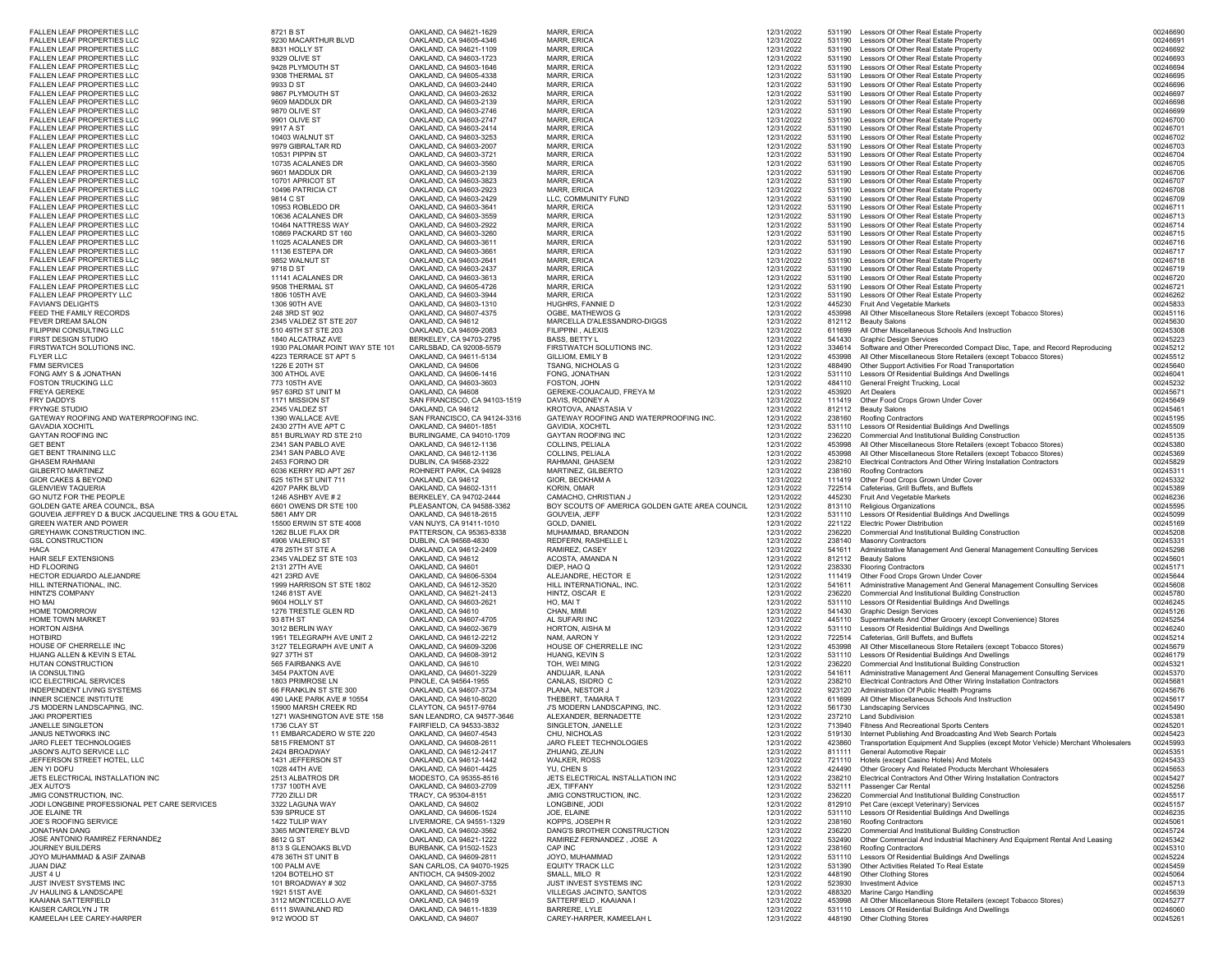| <b>FALLEN LEAF PROPERTIES LLC</b>                               | 8721 B ST                            | OAKLAND, CA 94621-1629                               | MARR, ERICA                                    | 12/31/2022               |                  | 531190 Lessors Of Other Real Estate Property                                                                                        | 00246690             |
|-----------------------------------------------------------------|--------------------------------------|------------------------------------------------------|------------------------------------------------|--------------------------|------------------|-------------------------------------------------------------------------------------------------------------------------------------|----------------------|
| <b>FALLEN LEAF PROPERTIES LLC</b>                               | 9230 MACARTHUR BLVD                  | OAKLAND, CA 94605-4346                               | MARR, ERICA                                    | 12/31/2022               | 531190           | Lessors Of Other Real Estate Property                                                                                               | 0024669              |
| <b>FALLEN LEAF PROPERTIES LLC</b>                               | 8831 HOLLY ST                        | OAKLAND, CA 94621-1109                               | MARR, ERICA                                    | 12/31/2022               | 531190           | Lessors Of Other Real Estate Property                                                                                               | 00246692             |
| <b>FALLEN LEAF PROPERTIES LLC</b>                               | 9329 OLIVE ST                        | OAKLAND, CA 94603-1723                               | <b>MARR, ERICA</b>                             | 12/31/2022               | 531190           | Lessors Of Other Real Estate Property                                                                                               | 00246693             |
| <b>FALLEN LEAF PROPERTIES LLC</b>                               | 9428 PLYMOUTH ST                     | OAKLAND, CA 94603-1646                               | <b>MARR, ERICA</b>                             | 12/31/2022               | 531190           | Lessors Of Other Real Estate Property                                                                                               | 00246694             |
| <b>FALLEN LEAF PROPERTIES LLC</b>                               | 9308 THERMAL ST                      | OAKLAND, CA 94605-4338                               | <b>MARR, ERICA</b>                             | 12/31/2022               | 531190           | Lessors Of Other Real Estate Property                                                                                               | 00246695             |
| FALLEN LEAF PROPERTIES LLC                                      | 9933 D ST                            | OAKLAND, CA 94603-2440                               | MARR, ERICA<br>MARR, ERICA                     | 12/31/2022               | 531190           | Lessors Of Other Real Estate Property                                                                                               | 00246696             |
| FALLEN LEAF PROPERTIES LLC<br><b>FALLEN LEAF PROPERTIES LLC</b> | 9867 PLYMOUTH ST<br>9609 MADDUX DR   | OAKLAND, CA 94603-2632<br>OAKLAND, CA 94603-2139     | <b>MARR, ERICA</b>                             | 12/31/2022<br>12/31/2022 | 531190<br>531190 | Lessors Of Other Real Estate Property<br>Lessors Of Other Real Estate Property                                                      | 00246697<br>00246698 |
| <b>FALLEN LEAF PROPERTIES LLC</b>                               | 9870 OLIVE ST                        | OAKLAND, CA 94603-2746                               | <b>MARR, ERICA</b>                             | 12/31/2022               | 531190           | Lessors Of Other Real Estate Property                                                                                               | 00246699             |
|                                                                 | 9901 OLIVE ST                        | OAKLAND, CA 94603-2747                               | MARR, ERICA                                    | 12/31/2022               | 531190           | Lessors Of Other Real Estate Property                                                                                               | 00246700             |
| FALLEN LEAF PROPERTIES LLC<br>FALLEN LEAF PROPERTIES LLC        | 9917 A ST                            | OAKLAND, CA 94603-2414                               | MARR, ERICA                                    | 12/31/2022               | 531190           | Lessors Of Other Real Estate Property                                                                                               | 00246701             |
| FALLEN LEAF PROPERTIES LLC                                      | 10403 WALNUT ST                      | OAKLAND, CA 94603-3253                               | <b>MARR, ERICA</b>                             | 12/31/2022               | 531190           | Lessors Of Other Real Estate Property                                                                                               | 00246702             |
| <b>FALLEN LEAF PROPERTIES LLC</b>                               | 9979 GIBRALTAR RD                    | OAKLAND, CA 94603-2007                               | <b>MARR, ERICA</b>                             | 12/31/2022               | 531190           | Lessors Of Other Real Estate Property                                                                                               | 00246703             |
| FALLEN LEAF PROPERTIES LLC                                      | 10531 PIPPIN ST                      | OAKLAND, CA 94603-3721                               | MARR, ERICA                                    | 12/31/2022               | 531190           | Lessors Of Other Real Estate Property                                                                                               | 00246704             |
| FALLEN LEAF PROPERTIES LLC                                      | 10735 ACALANES DR                    | OAKLAND, CA 94603-3560                               | MARR, ERICA                                    | 12/31/2022               | 531190           | Lessors Of Other Real Estate Property                                                                                               | 00246705             |
| <b>FALLEN LEAF PROPERTIES LLC</b>                               | 9601 MADDUX DR                       | OAKLAND, CA 94603-2139                               | <b>MARR, ERICA</b>                             | 12/31/2022               | 531190           | Lessors Of Other Real Estate Property                                                                                               | 00246706             |
| <b>FALLEN LEAF PROPERTIES LLC</b>                               | 10701 APRICOT ST                     | OAKLAND, CA 94603-3823                               | MARR, ERICA                                    | 12/31/2022               | 531190           | Lessors Of Other Real Estate Property                                                                                               | 00246707             |
| FALLEN LEAF PROPERTIES LLC                                      | 10496 PATRICIA CT                    | OAKLAND, CA 94603-2923                               | <b>MARR, ERICA</b>                             | 12/31/2022               | 531190           | Lessors Of Other Real Estate Property                                                                                               | 00246708             |
| FALLEN LEAF PROPERTIES LLC                                      | 9814 C ST                            | OAKLAND, CA 94603-2429                               | LLC, COMMUNITY FUND                            | 12/31/2022               | 531190           | Lessors Of Other Real Estate Property                                                                                               | 00246709             |
| FALLEN LEAF PROPERTIES LLC                                      | 10953 ROBLEDO DR                     | OAKLAND, CA 94603-3641                               | <b>MARR, ERICA</b>                             | 12/31/2022               | 531190           | Lessors Of Other Real Estate Property                                                                                               | 00246711             |
| <b>FALLEN LEAF PROPERTIES LLC</b>                               | 10636 ACALANES DR                    | OAKLAND, CA 94603-3559                               | <b>MARR, ERICA</b>                             | 12/31/2022               | 531190           | Lessors Of Other Real Estate Property                                                                                               | 00246713             |
| FALLEN LEAF PROPERTIES LLC                                      | 10464 NATTRESS WAY                   | OAKLAND, CA 94603-2922                               | MARR, ERICA                                    | 12/31/2022               | 531190           | Lessors Of Other Real Estate Property                                                                                               | 00246714             |
| FALLEN LEAF PROPERTIES LLC                                      | 10869 PACKARD ST 160                 | OAKLAND, CA 94603-3260                               | MARR, ERICA                                    | 12/31/2022               | 531190           | Lessors Of Other Real Estate Property                                                                                               | 00246715             |
| FALLEN LEAF PROPERTIES LLC                                      | 11025 ACALANES DR                    | OAKLAND, CA 94603-3611                               | <b>MARR, ERICA</b>                             | 12/31/2022               | 531190           | Lessors Of Other Real Estate Property                                                                                               | 00246716             |
| FALLEN LEAF PROPERTIES LLC                                      | 11136 ESTEPA DR                      | OAKLAND, CA 94603-3661                               | MARR, ERICA                                    | 12/31/2022               | 531190           | Lessors Of Other Real Estate Property                                                                                               | 00246717             |
| <b>FALLEN LEAF PROPERTIES LLC</b>                               | 9852 WALNUT ST                       | OAKLAND, CA 94603-2641                               | MARR, ERICA                                    | 12/31/2022               | 531190           | Lessors Of Other Real Estate Property                                                                                               | 00246718             |
| FALLEN LEAF PROPERTIES LLC                                      | 9718 D ST                            | OAKLAND, CA 94603-2437                               | MARR, ERICA                                    | 12/31/2022               | 531190           | Lessors Of Other Real Estate Property                                                                                               | 00246719             |
| FALLEN LEAF PROPERTIES LLC                                      | 11141 ACALANES DR                    | OAKLAND, CA 94603-3613                               | MARR, ERICA                                    | 12/31/2022               | 531190           | Lessors Of Other Real Estate Property                                                                                               | 00246720             |
| FALLEN LEAF PROPERTIES LLC                                      | 9508 THERMAL ST                      | OAKLAND, CA 94605-4726                               | <b>MARR, ERICA</b>                             | 12/31/2022               | 531190           | Lessors Of Other Real Estate Property                                                                                               | 00246721             |
| FALLEN LEAF PROPERTY LLC                                        | 1806 105TH AVE                       | OAKLAND, CA 94603-3944                               | <b>MARR, ERICA</b>                             | 12/31/2022               | 531190           | Lessors Of Other Real Estate Property                                                                                               | 00246262             |
| <b>FAVIAN'S DELIGHTS</b>                                        | 1306 90TH AVE                        | OAKLAND, CA 94603-1310                               | HUGHRS, FANNIE D                               | 12/31/2022               | 445230           | Fruit And Vegetable Markets                                                                                                         | 00245833             |
| FEED THE FAMILY RECORDS                                         | 248 3RD ST 902                       | OAKLAND, CA 94607-4375                               | OGBE, MATHEWOS G                               | 12/31/2022               | 453998           | All Other Miscellaneous Store Retailers (except Tobacco Stores)                                                                     | 00245116             |
| FEVER DREAM SALON                                               | 2345 VALDEZ ST STE 207               | OAKLAND, CA 94612                                    | MARCELLA D'ALESSANDRO-DIGGS                    | 12/31/2022               | 812112           | <b>Beauty Salons</b>                                                                                                                | 00245630             |
| FILIPPINI CONSULTING LLC                                        | 510 49TH ST STE 203                  | OAKLAND, CA 94609-2083                               | FILIPPINI, ALEXIS                              | 12/31/2022               | 611699           | All Other Miscellaneous Schools And Instruction                                                                                     | 00245308             |
| FIRST DESIGN STUDIO                                             | 1840 ALCATRAZ AVE                    | BERKELEY, CA 94703-2795                              | BASS, BETTY L                                  | 12/31/2022               | 541430           | <b>Graphic Design Services</b>                                                                                                      | 00245223             |
| FIRSTWATCH SOLUTIONS INC.                                       | 1930 PALOMAR POINT WAY STE 101       | CARLSBAD, CA 92008-5579                              | FIRSTWATCH SOLUTIONS INC.                      | 12/31/2022               | 334614           | Software and Other Prerecorded Compact Disc, Tape, and Record Reproducing                                                           | 00245212             |
| FLYER LLC                                                       | 4223 TERRACE ST APT 5                | OAKLAND, CA 94611-5134                               | GILLIOM, EMILY B                               | 12/31/2022               | 453998           | All Other Miscellaneous Store Retailers (except Tobacco Stores)                                                                     | 00245512             |
| <b>FMM SERVICES</b>                                             | 1226 E 20TH ST                       | OAKLAND, CA 94606                                    | TSANG, NICHOLAS G                              | 12/31/2022               | 488490           | Other Support Activities For Road Transportation                                                                                    | 00245640             |
| FONG AMY S & JONATHAN                                           | 300 ATHOL AVE                        | OAKLAND, CA 94606-1416                               | FONG, JONATHAN                                 | 12/31/2022               | 531110           | Lessors Of Residential Buildings And Dwellings                                                                                      | 00246041             |
| FOSTON TRUCKING LLC                                             | 773 105TH AVE                        | OAKLAND, CA 94603-3603                               | FOSTON, JOHN                                   | 12/31/2022               | 484110           | General Freight Trucking, Local                                                                                                     | 00245232             |
| FREYA GEREKE                                                    | 957 63RD ST UNIT M                   | OAKLAND, CA 94608                                    | GEREKE-COUACAUD. FREYA M                       | 12/31/2022               | 453920           | <b>Art Dealers</b>                                                                                                                  | 00245671             |
| FRY DADDYS                                                      | 1171 MISSION ST                      | SAN FRANCISCO, CA 94103-1519                         | DAVIS, RODNEY A                                | 12/31/2022               | 111419           | Other Food Crops Grown Under Cover                                                                                                  | 00245649             |
| FRYNGE STUDIO                                                   | 2345 VALDEZ ST                       | OAKLAND, CA 94612                                    | KROTOVA, ANASTASIA V                           | 12/31/2022               | 812112           | <b>Beauty Salons</b>                                                                                                                | 00245461             |
| GATEWAY ROOFING AND WATERPROOFING INC.                          | 1390 WALLACE AVE                     | SAN FRANCISCO, CA 94124-3316                         | GATEWAY ROOFING AND WATERPROOFING INC.         | 12/31/2022               | 238160           | Roofing Contractors                                                                                                                 | 00245195             |
| <b>GAVADIA XOCHITL</b>                                          | 2430 27TH AVE APT C                  | OAKLAND, CA 94601-1851                               | <b>GAVIDIA, XOCHITL</b>                        | 12/31/2022               | 531110           | Lessors Of Residential Buildings And Dwellings                                                                                      | 00245509             |
| <b>GAYTAN ROOFING INC</b>                                       | 851 BURLWAY RD STE 210               | BURLINGAME, CA 94010-1709                            | <b>GAYTAN ROOFING INC</b>                      | 12/31/2022               | 236220           | Commercial And Institutional Building Construction                                                                                  | 00245135             |
| GET BENT                                                        | 2341 SAN PABLO AVE                   | OAKLAND, CA 94612-1136                               | COLLINS, PELIALA                               | 12/31/2022               | 453998           | All Other Miscellaneous Store Retailers (except Tobacco Stores)                                                                     | 00245380             |
| <b>GET BENT TRAINING LLC</b><br><b>GHASEM RAHMANI</b>           | 2341 SAN PABLO AVE<br>2453 FORINO DR | OAKLAND, CA 94612-1136                               | COLLINS, PELIALA                               | 12/31/2022               | 453998           | All Other Miscellaneous Store Retailers (except Tobacco Stores)<br>Electrical Contractors And Other Wiring Installation Contractors | 00245369             |
| <b>GILBERTO MARTINEZ</b>                                        |                                      | DUBLIN, CA 94568-2322                                | RAHMANI, GHASEM                                | 12/31/2022               | 238210           |                                                                                                                                     | 00245829             |
|                                                                 | 6036 KERRY RD APT 267                | ROHNERT PARK, CA 94928                               | MARTINEZ, GILBERTO                             | 12/31/2022               | 238160           | Roofing Contractors                                                                                                                 | 00245311             |
| GIOR CAKES & BEYOND                                             | 625 16TH ST UNIT 711                 | OAKLAND, CA 94612                                    | GIOR, BECKHAM A                                | 12/31/2022               | 111419           | Other Food Crops Grown Under Cover                                                                                                  | 00245332             |
| GLENVIEW TAQUERIA                                               | 4207 PARK BLVD<br>1246 ASHBY AVE # 2 | OAKLAND, CA 94602-1311                               | <b>KORIN, OMAR</b><br>CAMACHO, CHRISTIAN J     | 12/31/2022               | 722514<br>445230 | Cafeterias, Grill Buffets, and Buffets<br><b>Fruit And Vegetable Markets</b>                                                        | 00245389<br>00246236 |
| GO NUTZ FOR THE PEOPLE<br>GOLDEN GATE AREA COUNCIL, BSA         | 6601 OWENS DR STE 100                | BERKELEY, CA 94702-2444<br>PLEASANTON, CA 94588-3362 | BOY SCOUTS OF AMERICA GOLDEN GATE AREA COUNCIL | 12/31/2022<br>12/31/2022 | 813110           | Religious Organizations                                                                                                             | 00245595             |
| GOUVEIA JEFFREY D & BUCK JACQUELINE TRS & GOU ETAL              | 5861 AMY DR                          | OAKLAND, CA 94618-2615                               | GOUVEIA, JEFF                                  | 12/31/2022               | 531110           | Lessors Of Residential Buildings And Dwellings                                                                                      | 00245099             |
|                                                                 | 15500 ERWIN ST STE 4008              |                                                      | <b>GOLD, DANIEL</b>                            | 12/31/2022               |                  | <b>Electric Power Distribution</b>                                                                                                  |                      |
| GREEN WATER AND POWER<br>GREYHAWK CONSTRUCTION INC.             | 1262 BLUE FLAX DR                    | VAN NUYS, CA 91411-1010<br>PATTERSON, CA 95363-8338  | MUHAMMAD, BRANDON                              | 12/31/2022               | 221122           | Commercial And Institutional Building Construction                                                                                  | 00245169<br>00245208 |
| <b>GSL CONSTRUCTION</b>                                         | 4906 VALERIO ST                      | DUBLIN, CA 94568-4830                                | REDFERN, RASHELLE L                            | 12/31/2022               | 236220<br>238140 | <b>Masonry Contractors</b>                                                                                                          | 00245331             |
| HACA                                                            | 478 25TH ST STE A                    | OAKLAND, CA 94612-2409                               | RAMIREZ, CASEY                                 | 12/31/2022               | 541611           | Administrative Management And General Management Consulting Services                                                                | 00245298             |
| HAIR SELF EXTENSIONS                                            | 2345 VALDEZ ST STE 103               | OAKLAND, CA 94612                                    | ACOSTA, AMANDA N                               | 12/31/2022               | 812112           | <b>Beauty Salons</b>                                                                                                                | 00245601             |
| HD FLOORING                                                     | 2131 27TH AVE                        | OAKLAND, CA 94601                                    | DIEP, HAO Q                                    | 12/31/2022               | 238330           | <b>Flooring Contractors</b>                                                                                                         | 00245171             |
| HECTOR EDUARDO ALEJANDRE                                        | 421 23RD AVE                         | OAKLAND, CA 94606-5304                               | ALEJANDRE, HECTOR E                            | 12/31/2022               | 111419           | Other Food Crops Grown Under Cover                                                                                                  | 00245644             |
| HILL INTERNATIONAL, INC.                                        | 1999 HARRISON ST STE 1802            | OAKLAND, CA 94612-3520                               | HILL INTERNATIONAL, INC.                       | 12/31/2022               | 541611           | Administrative Management And General Management Consulting Services                                                                | 00245608             |
| HINTZ'S COMPANY                                                 | 1246 81ST AVE                        | OAKLAND, CA 94621-2413                               | HINTZ, OSCAR E                                 | 12/31/2022               | 236220           | Commercial And Institutional Building Construction                                                                                  | 00245780             |
| HO MAI                                                          | 9604 HOLLY ST                        | OAKLAND, CA 94603-2621                               | HO, MAI T                                      | 12/31/2022               | 531110           | Lessors Of Residential Buildings And Dwellings                                                                                      | 00246245             |
| HOME TOMORROW                                                   | 1276 TRESTLE GLEN RD                 | OAKLAND, CA 94610                                    | CHAN, MIMI                                     | 12/31/2022               | 541430           | <b>Graphic Design Services</b>                                                                                                      | 00245126             |
| HOME TOWN MARKET                                                | 93 8TH ST                            | OAKLAND, CA 94607-4705                               | AL SUFARI INC                                  | 12/31/2022               | 445110           | Supermarkets And Other Grocery (except Convenience) Stores                                                                          | 00245254             |
| HORTON AISHA                                                    | 3012 BERLIN WAY                      | OAKLAND, CA 94602-3679                               | HORTON, AISHA M                                | 12/31/2022               | 531110           | Lessors Of Residential Buildings And Dwellings                                                                                      | 00246240             |
| HOTBIRD                                                         | 1951 TELEGRAPH AVE UNIT 2            | OAKLAND, CA 94612-2212                               | NAM, AARON Y                                   | 12/31/2022               | 722514           | Cafeterias, Grill Buffets, and Buffets                                                                                              | 00245214             |
| HOUSE OF CHERRELLE INC                                          | 3127 TELEGRAPH AVE UNIT A            | OAKLAND, CA 94609-3206                               | HOUSE OF CHERRELLE INC                         | 12/31/2022               | 453998           | All Other Miscellaneous Store Retailers (except Tobacco Stores)                                                                     | 00245679             |
| HUANG ALLEN & KEVIN S ETAL                                      | 927 37TH ST                          | OAKLAND, CA 94608-3912                               | HUANG, KEVIN S                                 | 12/31/2022               | 531110           | Lessors Of Residential Buildings And Dwellings                                                                                      | 00246179             |
| HUTAN CONSTRUCTION                                              | 565 FAIRBANKS AVE                    | OAKLAND, CA 94610                                    | TOH, WEI MING                                  | 12/31/2022               | 236220           | Commercial And Institutional Building Construction                                                                                  | 00245321             |
| <b>IA CONSULTING</b>                                            | 3454 PAXTON AVE                      | OAKLAND, CA 94601-3229                               | ANDUJAR, ILANA                                 | 12/31/2022               | 541611           | Administrative Management And General Management Consulting Services                                                                | 00245370             |
| ICC ELECTRICAL SERVICES                                         | 1803 PRIMROSE LN                     | PINOLE, CA 94564-1955                                | CANLAS, ISIDRO C                               | 12/31/2022               | 238210           | Electrical Contractors And Other Wiring Installation Contractors                                                                    | 00245681             |
| INDEPENDENT LIVING SYSTEMS                                      | 66 FRANKLIN ST STE 300               | OAKLAND, CA 94607-3734                               | PLANA, NESTOR J                                | 12/31/2022               | 923120           | Administration Of Public Health Programs                                                                                            | 00245676             |
| INNER SCIENCE INSTITUTE                                         | 490 LAKE PARK AVE # 10554            | OAKLAND, CA 94610-8020                               | THEBERT, TAMARA T                              | 12/31/2022               | 611699           | All Other Miscellaneous Schools And Instruction                                                                                     | 00245617             |
| J'S MODERN LANDSCAPING, INC.                                    | 15900 MARSH CREEK RD                 | CLAYTON, CA 94517-9764                               | J'S MODERN LANDSCAPING, INC.                   | 12/31/2022               |                  | 561730 Landscaping Services                                                                                                         | 00245490             |
| <b>JAKI PROPERTIES</b>                                          | 1271 WASHINGTON AVE STE 158          | SAN LEANDRO, CA 94577-3646                           | ALEXANDER, BERNADETTE                          | 12/31/2022               |                  | 237210 Land Subdivision                                                                                                             | 00245381             |
| JANELLE SINGLETON                                               | 1736 CLAY ST                         | <b>FAIRFIFLD. CA 94533-3832</b>                      | SINGLETON, JANELLE                             | 12/31/2022               |                  | 713940 Fitness And Recreational Sports Centers                                                                                      | 00245201             |
| JANUS NETWORKS INC                                              | 11 EMBARCADERO W STE 220             | OAKLAND, CA 94607-4543                               | CHU, NICHOLAS                                  | 12/31/2022               |                  | 519130 Internet Publishing And Broadcasting And Web Search Portals                                                                  | 00245423             |
| JARO FLEET TECHNOLOGIES                                         | 5815 FREMONT ST                      | OAKLAND, CA 94608-2611                               | JARO FLEET TECHNOLOGIES                        | 12/31/2022               | 423860           | Transportation Equipment And Supplies (except Motor Vehicle) Merchant Wholesalers                                                   | 00245993             |
| JASON'S AUTO SERVICE LLC                                        | 2424 BROADWAY                        | OAKLAND, CA 94612-2417                               | ZHUANG, ZEJUN                                  | 12/31/2022               | 811111           | General Automotive Repair                                                                                                           | 00245351             |
| JEFFERSON STREET HOTEL, LLC                                     | 1431 JEFFERSON ST                    | OAKLAND, CA 94612-1442                               | <b>WALKER, ROSS</b>                            | 12/31/2022               | 721110           | Hotels (except Casino Hotels) And Motels                                                                                            | 00245433             |
| JEN YI DOFU                                                     | 1028 44TH AVE                        | OAKLAND, CA 94601-4425                               | YU, CHEN S                                     | 12/31/2022               | 424490           | Other Grocery And Related Products Merchant Wholesalers                                                                             | 00245653             |
| JETS ELECTRICAL INSTALLATION INC                                | 2513 ALBATROS DR                     | MODESTO, CA 95355-8516                               | JETS ELECTRICAL INSTALLATION INC               | 12/31/2022               | 238210           | Electrical Contractors And Other Wiring Installation Contractors                                                                    | 00245427             |
| JEX AUTO'S                                                      | 1737 100TH AVE                       | OAKLAND, CA 94603-2709                               | JEX, TIFFANY                                   | 12/31/2022               | 532111           | Passenger Car Rental                                                                                                                | 00245256             |
| JMIG CONSTRUCTION, INC.                                         | 7720 ZILLI DR                        | TRACY, CA 95304-8151                                 | JMIG CONSTRUCTION, INC.                        | 12/31/2022               | 236220           | Commercial And Institutional Building Construction                                                                                  | 00245517             |
| JODI LONGBINE PROFESSIONAL PET CARE SERVICES                    | 3322 LAGUNA WAY                      | OAKLAND, CA 94602                                    | LONGBINE, JODI                                 | 12/31/2022               | 812910           | Pet Care (except Veterinary) Services                                                                                               | 00245157             |
| JOE ELAINE TR                                                   | 539 SPRUCE ST<br>1422 TULIP WAY      | OAKLAND, CA 94606-1524                               | JOE, ELAINE                                    | 12/31/2022               | 531110           | Lessors Of Residential Buildings And Dwellings                                                                                      | 00246235             |
| JOE'S ROOFING SERVICE                                           |                                      | LIVERMORE, CA 94551-1329                             | KOPPS, JOSEPH R<br>DANG'S BROTHER CONSTRUCTION | 12/31/2022               | 238160           | Roofing Contractors                                                                                                                 | 00245061             |
| JONATHAN DANG                                                   | 3365 MONTEREY BLVD<br>8612 G ST      | OAKLAND, CA 94602-3562                               | RAMIREZ FERNANDEZ . JOSE A                     | 12/31/2022               | 236220<br>532490 | Commercial And Institutional Building Construction<br>Other Commercial And Industrial Machinery And Equipment Rental And Leasing    | 00245724<br>00245342 |
| JOSE ANTONIO RAMIREZ FERNANDEZ<br>JOURNEY BUILDERS              | 813 S GLENOAKS BLVD                  | OAKLAND, CA 94621-1222<br>BURBANK, CA 91502-1523     | CAP INC                                        | 12/31/2022<br>12/31/2022 | 238160           | Roofing Contractors                                                                                                                 | 00245310             |
| JOYO MUHAMMAD & ASIF ZAINAB                                     | 478 36TH ST UNIT B                   | OAKLAND, CA 94609-2811                               | JOYO, MUHAMMAD                                 | 12/31/2022               | 531110           | Lessors Of Residential Buildings And Dwellings                                                                                      | 00245224             |
| JUAN DIAZ                                                       | 100 PALM AVE                         | SAN CARLOS, CA 94070-1925                            | <b>EQUITY TRACK LLC</b>                        | 12/31/2022               | 531390           | Other Activities Related To Real Estate                                                                                             | 00245459             |
| JUST 4 U                                                        | 1204 BOTELHO ST                      | ANTIOCH, CA 94509-2002                               | SMALL, MILO R                                  | 12/31/2022               | 448190           | <b>Other Clothing Stores</b>                                                                                                        | 00245064             |
| JUST INVEST SYSTEMS INC                                         | 101 BROADWAY #302                    | OAKLAND, CA 94607-3755                               | JUST INVEST SYSTEMS INC                        | 12/31/2022               | 523930           | <b>Investment Advice</b>                                                                                                            | 00245713             |
| JV HAULING & LANDSCAPE                                          | 1921 51ST AVE                        | OAKLAND, CA 94601-5321                               | VILLEGAS JACINTO, SANTOS                       | 12/31/2022               | 488320           | Marine Cargo Handling                                                                                                               | 00245639             |
| KAAIANA SATTERFIELD                                             | 3112 MONTICELLO AVE                  | OAKLAND, CA 94619                                    | SATTERFIELD, KAAIANA I                         | 12/31/2022               | 453998           | All Other Miscellaneous Store Retailers (except Tobacco Stores)                                                                     | 00245277             |
| KAISER CAROLYN J TR                                             | 6111 SWAINLAND RD                    | OAKLAND, CA 94611-1839                               | BARRERE, LYLE                                  | 12/31/2022               | 531110           | Lessors Of Residential Buildings And Dwellings                                                                                      | 00246060             |
| KAMEELAH LEE CAREY-HARPER                                       | 912 WOOD ST                          | OAKLAND, CA 94607                                    | CAREY-HARPER, KAMEELAH L                       | 12/31/2022               | 448190           | <b>Other Clothing Stores</b>                                                                                                        | 00245261             |
|                                                                 |                                      |                                                      |                                                |                          |                  |                                                                                                                                     |                      |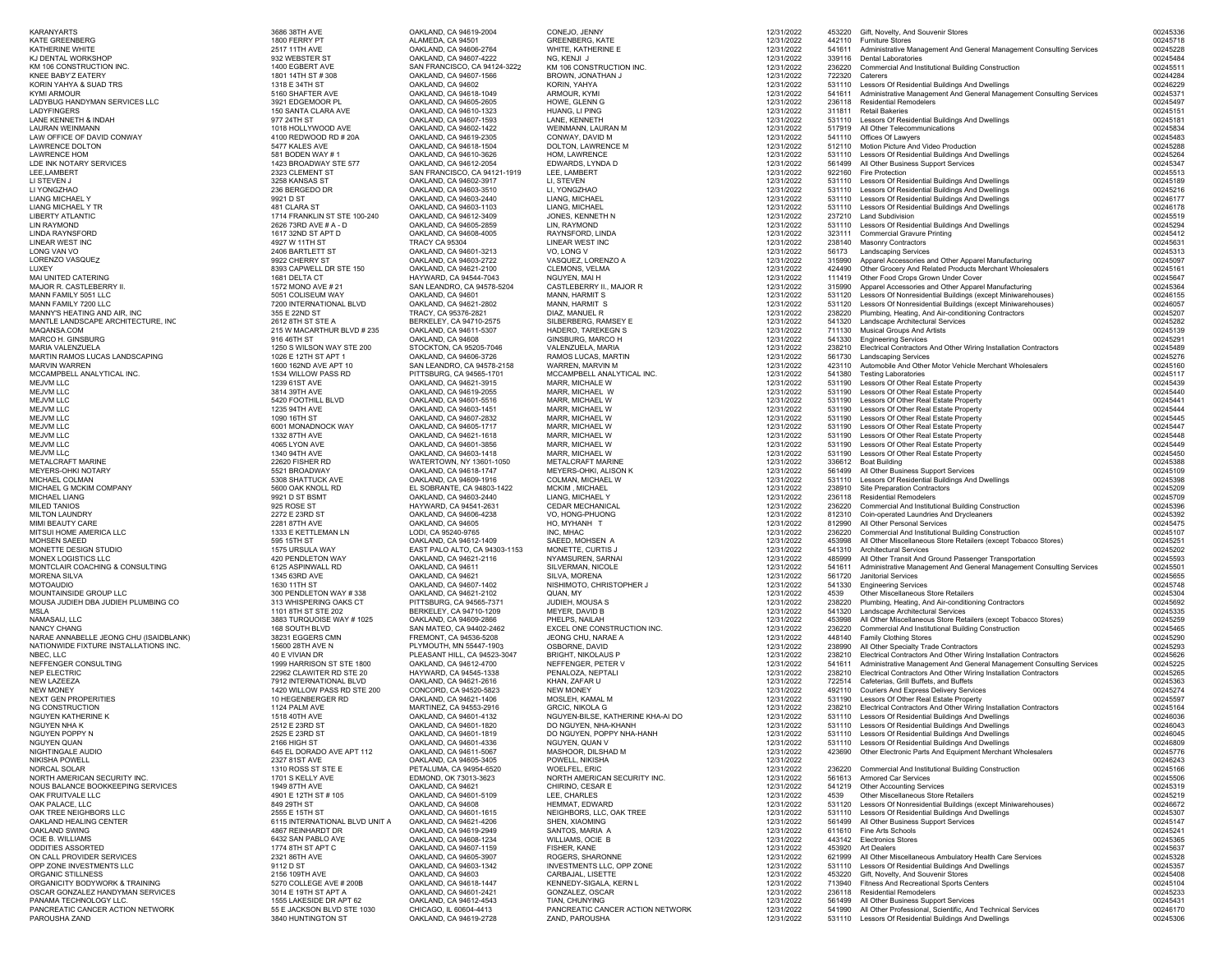| <b>KARANYARTS</b><br><b>KATE GREENBERG</b>                         | 3686 38TH AVE<br>1800 FERRY PT                        | OAKLAND, CA 94619-2004<br>ALAMEDA, CA 94501            | CONEJO, JENNY<br><b>GREENBERG, KATE</b>                   | 12/31/2022<br>12/31/2022 |                  | 453220 Gift, Novelty, And Souvenir Stores<br>442110 Furniture Stores                                                                     | 00245336<br>00245718 |
|--------------------------------------------------------------------|-------------------------------------------------------|--------------------------------------------------------|-----------------------------------------------------------|--------------------------|------------------|------------------------------------------------------------------------------------------------------------------------------------------|----------------------|
| KATHERINE WHITE                                                    | 2517 11TH AVE                                         | OAKLAND, CA 94606-2764                                 | WHITE, KATHERINE E                                        | 12/31/2022               | 541611           | Administrative Management And General Management Consulting Services                                                                     | 00245228             |
| KJ DENTAL WORKSHOP<br>KM 106 CONSTRUCTION INC.                     | 932 WEBSTER ST<br>1400 EGBERT AVE                     | OAKLAND, CA 94607-4222<br>SAN FRANCISCO, CA 94124-3222 | NG, KENJI J<br>KM 106 CONSTRUCTION INC.                   | 12/31/2022<br>12/31/2022 | 339116<br>236220 | Dental Laboratories<br>Commercial And Institutional Building Construction                                                                | 00245484<br>00245511 |
| KNEE BABY'Z EATERY                                                 | 1801 14TH ST # 308                                    | OAKLAND, CA 94607-1566                                 | BROWN, JONATHAN J                                         | 12/31/2022               | 722320           | Caterers                                                                                                                                 | 00244284             |
| KORIN YAHYA & SUAD TRS                                             | 1318 E 34TH ST                                        | OAKLAND, CA 94602                                      | KORIN, YAHYA                                              | 12/31/2022               | 531110           | Lessors Of Residential Buildings And Dwellings                                                                                           | 00246229             |
| <b>KYMI ARMOUR</b><br>LADYBUG HANDYMAN SERVICES LLC                | 5160 SHAFTER AVE<br>3921 EDGEMOOR PL                  | OAKLAND, CA 94618-1049<br>OAKLAND, CA 94605-2605       | ARMOUR, KYMI<br>HOWE, GLENN G                             | 12/31/2022<br>12/31/2022 | 541611<br>236118 | Administrative Management And General Management Consulting Services<br><b>Residential Remodelers</b>                                    | 00245371<br>00245497 |
| LADYFINGERS                                                        | 150 SANTA CLARA AVE                                   | OAKLAND, CA 94610-1323                                 | HUANG, LI PING                                            | 12/31/2022               | 311811           | <b>Retail Bakeries</b>                                                                                                                   | 00245151             |
| LANE KENNETH & INDAH<br><b>LAURAN WEINMANN</b>                     | 977 24TH ST<br>1018 HOLLYWOOD AVE                     | OAKLAND, CA 94607-1593<br>OAKLAND, CA 94602-1422       | LANE, KENNETH<br>WEINMANN, LAURAN M                       | 12/31/2022<br>12/31/2022 | 531110<br>517919 | Lessors Of Residential Buildings And Dwellings<br>All Other Telecommunications                                                           | 00245181<br>00245834 |
| LAW OFFICE OF DAVID CONWAY                                         | 4100 REDWOOD RD # 20A                                 | OAKLAND, CA 94619-2305                                 | CONWAY, DAVID M                                           | 12/31/2022               | 541110           | Offices Of Lawyers                                                                                                                       | 00245483             |
| <b>LAWRENCE DOLTON</b>                                             | 5477 KALES AVE                                        | OAKLAND, CA 94618-1504                                 | DOLTON, LAWRENCE M                                        | 12/31/2022               | 512110           | Motion Picture And Video Production                                                                                                      | 00245288             |
| <b>LAWRENCE HOM</b><br>LDE INK NOTARY SERVICES                     | 581 BODEN WAY #1<br>1423 BROADWAY STE 577             | OAKLAND, CA 94610-3626<br>OAKLAND, CA 94612-2054       | HOM, LAWRENCE<br>EDWARDS, LYNDA D                         | 12/31/2022<br>12/31/2022 | 531110<br>561499 | Lessors Of Residential Buildings And Dwellings<br>All Other Business Support Services                                                    | 00245264<br>00245347 |
| LEE.LAMBERT                                                        | 2323 CLEMENT ST                                       | SAN FRANCISCO, CA 94121-1919                           | LEE, LAMBERT                                              | 12/31/2022               | 922160           | Fire Protection                                                                                                                          | 00245513             |
| LI STEVEN J<br>LI YONGZHAO                                         | 3258 KANSAS ST<br>236 BERGEDO DR                      | OAKLAND, CA 94602-3917<br>OAKLAND, CA 94603-3510       | LI, STEVEN<br>LI, YONGZHAO                                | 12/31/2022<br>12/31/2022 | 531110<br>531110 | Lessors Of Residential Buildings And Dwellings<br>Lessors Of Residential Buildings And Dwellings                                         | 00245189<br>00245216 |
| <b>LIANG MICHAEL Y</b>                                             | 9921 D ST                                             | OAKLAND, CA 94603-2440                                 | LIANG, MICHAEL                                            | 12/31/2022               |                  | 531110 Lessors Of Residential Buildings And Dwellings                                                                                    | 00246177             |
| LIANG MICHAEL Y TR                                                 | 481 CLARA ST<br>1714 FRANKLIN ST STE 100-240          | OAKLAND, CA 94603-1103                                 | LIANG, MICHAEL                                            | 12/31/2022               |                  | 531110 Lessors Of Residential Buildings And Dwellings                                                                                    | 00246178             |
| <b>LIBERTY ATLANTIC</b><br>LIN RAYMOND                             | 2626 73RD AVE # A - D                                 | OAKLAND, CA 94612-3409<br>OAKLAND, CA 94605-2859       | JONES, KENNETH N<br>LIN, RAYMOND                          | 12/31/2022<br>12/31/2022 | 237210           | <b>Land Subdivision</b><br>531110 Lessors Of Residential Buildings And Dwellings                                                         | 00245519<br>00245294 |
| <b>LINDA RAYNSFORD</b>                                             | 1617 32ND ST APT D                                    | OAKLAND, CA 94608-4005                                 | RAYNSFORD, LINDA                                          | 12/31/2022               | 323111           | <b>Commercial Gravure Printing</b>                                                                                                       | 00245412             |
| LINEAR WEST INC<br>LONG VAN VO                                     | 4927 W 11TH ST<br>2406 BARTLETT ST                    | <b>TRACY CA 95304</b><br>OAKLAND, CA 94601-3213        | <b>LINEAR WEST INC</b><br>VO, LONG V                      | 12/31/2022<br>12/31/2022 | 238140<br>56173  | <b>Masonry Contractors</b><br><b>Landscaping Services</b>                                                                                | 00245631<br>00245313 |
| LORENZO VASQUEZ                                                    | 9922 CHERRY ST                                        | OAKLAND, CA 94603-2722                                 | VASQUEZ, LORENZO A                                        | 12/31/2022               | 315990           | Apparel Accessories and Other Apparel Manufacturing                                                                                      | 00245097             |
| LUXEY                                                              | 8393 CAPWELL DR STE 150                               | OAKLAND, CA 94621-2100                                 | CLEMONS, VELMA                                            | 12/31/2022               | 424490           | Other Grocery And Related Products Merchant Wholesalers                                                                                  | 00245161             |
| MAI UNITED CATERING<br>MAJOR R. CASTLEBERRY II.                    | 1681 DELTA CT<br>1572 MONO AVE # 21                   | HAYWARD, CA 94544-7043<br>SAN LEANDRO, CA 94578-5204   | NGUYEN, MAI H<br>CASTLEBERRY II., MAJOR R                 | 12/31/2022<br>12/31/2022 | 111419<br>315990 | Other Food Crops Grown Under Cover<br>Apparel Accessories and Other Apparel Manufacturing                                                | 00245647<br>00245364 |
| MANN FAMILY 5051 LLC                                               | 5051 COLISEUM WAY                                     | OAKLAND, CA 94601                                      | MANN, HARMIT S                                            | 12/31/2022               | 531120           | Lessors Of Nonresidential Buildings (except Miniwarehouses)                                                                              | 00246155             |
| MANN FAMILY 7200 LLC                                               | 7200 INTERNATIONAL BLVD                               | OAKLAND, CA 94621-2802                                 | MANN, HARMIT S                                            | 12/31/2022               | 531120           | Lessors Of Nonresidential Buildings (except Miniwarehouses)                                                                              | 00246057             |
| MANNY'S HEATING AND AIR, INC<br>MANTLE LANDSCAPE ARCHITECTURE, INC | 355 E 22ND ST<br>2612 8TH ST STE A                    | TRACY, CA 95376-2821<br>BERKELEY, CA 94710-2575        | DIAZ, MANUEL R<br>SILBERBERG, RAMSEY E                    | 12/31/2022<br>12/31/2022 | 238220<br>541320 | Plumbing, Heating, And Air-conditioning Contractors<br>Landscape Architectural Services                                                  | 00245207<br>00245282 |
| MAQANSA.COM                                                        | 215 W MACARTHUR BLVD #235                             | OAKLAND, CA 94611-5307                                 | HADERO, TAREKEGN S                                        | 12/31/2022               | 711130           | <b>Musical Groups And Artists</b>                                                                                                        | 00245139             |
| MARCO H. GINSBURG<br>MARIA VALENZUELA                              | 916 46TH ST                                           | OAKLAND, CA 94608<br>STOCKTON, CA 95205-7046           | GINSBURG, MARCO H                                         | 12/31/2022               | 541330<br>238210 | <b>Engineering Services</b><br>Electrical Contractors And Other Wiring Installation Contractors                                          | 00245291<br>00245489 |
| MARTIN RAMOS LUCAS LANDSCAPING                                     | 1250 S WILSON WAY STE 200<br>1026 E 12TH ST APT 1     | OAKLAND, CA 94606-3726                                 | VALENZUELA, MARIA<br>RAMOS LUCAS, MARTIN                  | 12/31/2022<br>12/31/2022 | 561730           | <b>Landscaping Services</b>                                                                                                              | 00245276             |
| MARVIN WARREN                                                      | 1600 162ND AVE APT 10                                 | SAN LEANDRO, CA 94578-2158                             | WARREN, MARVIN M                                          | 12/31/2022               | 423110           | Automobile And Other Motor Vehicle Merchant Wholesalers                                                                                  | 00245160             |
| MCCAMPBELL ANALYTICAL INC.<br>MEJVM LLC                            | 1534 WILLOW PASS RD<br>1239 61ST AVE                  | PITTSBURG, CA 94565-1701<br>OAKLAND, CA 94621-3915     | MCCAMPBELL ANALYTICAL INC.<br>MARR, MICHALE W             | 12/31/2022<br>12/31/2022 | 541380<br>531190 | <b>Testing Laboratories</b><br>Lessors Of Other Real Estate Property                                                                     | 00245117<br>00245439 |
| <b>MEJVM LLC</b>                                                   | 3814 39TH AVE                                         | OAKLAND, CA 94619-2055                                 | MARR, MICHAEL W                                           | 12/31/2022               |                  | 531190 Lessors Of Other Real Estate Property                                                                                             | 00245440             |
| MEJVM LLC                                                          | 5420 FOOTHILL BLVD                                    | OAKLAND, CA 94601-5516                                 | MARR. MICHAEL W                                           | 12/31/2022               |                  | 531190 Lessors Of Other Real Estate Property                                                                                             | 00245441             |
| MEJVM LLC<br>MEJVM LLC                                             | 1235 94TH AVE<br>1090 16TH ST                         | OAKLAND, CA 94603-1451<br>OAKLAND, CA 94607-2832       | MARR, MICHAEL W<br>MARR, MICHAEL W                        | 12/31/2022<br>12/31/2022 |                  | 531190 Lessors Of Other Real Estate Property<br>531190 Lessors Of Other Real Estate Property                                             | 00245444<br>00245445 |
| MEJVM LLC                                                          | 6001 MONADNOCK WAY                                    | OAKLAND, CA 94605-1717                                 | MARR, MICHAEL W                                           | 12/31/2022               |                  | 531190 Lessors Of Other Real Estate Property                                                                                             | 00245447             |
| MEJVM LLC<br>MEJVM LLC                                             | 1332 87TH AVE<br>4065 LYON AVE                        | OAKLAND, CA 94621-1618<br>OAKLAND, CA 94601-3856       | MARR, MICHAEL W<br>MARR. MICHAEL W                        | 12/31/2022<br>12/31/2022 |                  | 531190 Lessors Of Other Real Estate Property<br>531190 Lessors Of Other Real Estate Property                                             | 00245448<br>00245449 |
| MEJVM LLC                                                          | 1340 94TH AVE                                         | OAKLAND, CA 94603-1418                                 | MARR, MICHAEL W                                           | 12/31/2022               |                  | 531190 Lessors Of Other Real Estate Property                                                                                             | 00245450             |
| METALCRAFT MARINE                                                  | 22620 FISHER RD                                       | WATERTOWN, NY 13601-1050                               | <b>METALCRAFT MARINE</b>                                  | 12/31/2022               |                  | 336612 Boat Building                                                                                                                     | 00245388             |
| MEYERS-OHKI NOTARY<br>MICHAEL COLMAN                               | 5521 BROADWAY<br>5308 SHATTUCK AVE                    | OAKLAND, CA 94618-1747<br>OAKLAND, CA 94609-1916       | MEYERS-OHKI, ALISON K<br>COLMAN, MICHAEL W                | 12/31/2022<br>12/31/2022 | 561499<br>531110 | All Other Business Support Services<br>Lessors Of Residential Buildings And Dwellings                                                    | 00245109<br>00245398 |
| MICHAEL G MCKIM COMPANY                                            | 5600 OAK KNOLL RD                                     | EL SOBRANTE, CA 94803-1422                             | MCKIM, MICHAEL                                            | 12/31/2022               | 238910           | Site Preparation Contractors                                                                                                             | 00245209             |
| MICHAEL LIANG                                                      | 9921 D ST BSMT                                        | OAKLAND, CA 94603-2440                                 | LIANG, MICHAEL Y                                          | 12/31/2022               | 236118           | <b>Residential Remodelers</b>                                                                                                            | 00245709             |
| <b>MILED TANIOS</b><br><b>MILTON LAUNDRY</b>                       | 925 ROSE ST<br>2272 E 23RD ST                         | HAYWARD, CA 94541-2631<br>OAKLAND, CA 94606-4238       | <b>CEDAR MECHANICAL</b><br>VO, HONG-PHUONG                | 12/31/2022<br>12/31/2022 | 236220<br>812310 | Commercial And Institutional Building Construction<br>Coin-operated Laundries And Drycleaners                                            | 00245396<br>00245392 |
| MIMI BEAUTY CARE                                                   | 2281 87TH AVE                                         | OAKLAND, CA 94605                                      | HO, MYHANH T                                              | 12/31/2022               | 812990           | All Other Personal Services                                                                                                              | 00245475             |
| MITSUI HOME AMERICA LLC<br>MOHSEN SAEED                            | 1333 E KETTLEMAN LN<br>595 15TH ST                    | LODI, CA 95240-9765<br>OAKLAND, CA 94612-1409          | INC. MHAC<br>SAEED, MOHSEN A                              | 12/31/2022<br>12/31/2022 | 236220<br>453998 | Commercial And Institutional Building Construction<br>All Other Miscellaneous Store Retailers (except Tobacco Stores)                    | 00245107<br>00245251 |
| MONETTE DESIGN STUDIO                                              | 1575 URSULA WAY                                       | EAST PALO ALTO, CA 94303-1153                          | MONETTE, CURTIS J                                         | 12/31/2022               | 541310           | <b>Architectural Services</b>                                                                                                            | 00245202             |
| MONEX LOGISTICS LLC<br>MONTCLAIR COACHING & CONSULTING             | 420 PENDLETON WAY<br>6125 ASPINWALL RD                | OAKLAND, CA 94621-2116<br>OAKLAND, CA 94611            | NYAMSUREN, SARNAI<br>SILVERMAN, NICOLE                    | 12/31/2022<br>12/31/2022 | 485999<br>541611 | All Other Transit And Ground Passenger Transportation                                                                                    | 00245593<br>00245501 |
| MORENA SILVA                                                       | 1345 63RD AVE                                         | OAKLAND, CA 94621                                      | SILVA, MORENA                                             | 12/31/2022               | 561720           | Administrative Management And General Management Consulting Services<br>Janitorial Services                                              | 00245655             |
| <b>MOTOAUDIO</b>                                                   | 1630 11TH ST                                          | OAKLAND, CA 94607-1402                                 | NISHIMOTO, CHRISTOPHER J                                  | 12/31/2022               | 541330           | <b>Engineering Services</b>                                                                                                              | 00245748             |
| MOUNTAINSIDE GROUP LLC<br>MOUSA JUDIEH DBA JUDIEH PLUMBING CO      | 300 PENDLETON WAY #338<br>313 WHISPERING OAKS CT      | OAKLAND, CA 94621-2102<br>PITTSBURG, CA 94565-7371     | QUAN, MY<br>JUDIEH, MOUSA S                               | 12/31/2022<br>12/31/2022 | 4539<br>238220   | Other Miscellaneous Store Retailers<br>Plumbing, Heating, And Air-conditioning Contractors                                               | 00245304<br>00245692 |
| MSLA                                                               | 1101 8TH ST STE 202                                   | BERKELEY, CA 94710-1209                                | MEYER, DAVID B                                            | 12/31/2022               | 541320           | Landscape Architectural Services                                                                                                         | 00245335             |
| NAMASAIJ, LLC<br><b>NANCY CHANG</b>                                | 3883 TURQUOISE WAY #1025<br>168 SOUTH BLVD            | OAKLAND, CA 94609-2866                                 | PHELPS, NAILAH                                            | 12/31/2022               | 453998           | All Other Miscellaneous Store Retailers (except Tobacco Stores)                                                                          | 00245259<br>00245465 |
| NARAE ANNABELLE JEONG CHU (ISAIDBLANK)                             | 38231 EGGERS CMN                                      | SAN MATEO, CA 94402-2462<br>FREMONT, CA 94536-5208     | EXCEL ONE CONSTRUCTION INC.<br>JEONG CHU, NARAE A         | 12/31/2022<br>12/31/2022 | 236220<br>448140 | Commercial And Institutional Building Construction<br>Family Clothing Stores                                                             | 00245290             |
| NATIONWIDE FIXTURE INSTALLATIONS INC.                              | 15600 28TH AVE N                                      | PLYMOUTH, MN 55447-1903                                | OSBORNE, DAVID                                            | 12/31/2022               | 238990           | All Other Specialty Trade Contractors                                                                                                    | 00245293             |
| NBEC, LLC<br>NEFFENGER CONSULTING                                  | 40 E VIVIAN DR<br>1999 HARRISON ST STE 1800           | PLEASANT HILL, CA 94523-3047<br>OAKLAND, CA 94612-4700 | <b>BRIGHT, NIKOLAUS P</b><br>NEFFENGER, PETER V           | 12/31/2022<br>12/31/2022 | 238210<br>541611 | Electrical Contractors And Other Wiring Installation Contractors<br>Administrative Management And General Management Consulting Services | 00245626<br>00245225 |
| NEP ELECTRIC                                                       | 22962 CLAWITER RD STE 20                              | HAYWARD, CA 94545-1338                                 | PENALOZA, NEPTALI                                         | 12/31/2022               | 238210           | Electrical Contractors And Other Wiring Installation Contractors                                                                         | 00245265             |
| NEW LAZEEZA                                                        | 7912 INTERNATIONAL BLVD                               | OAKLAND, CA 94621-2616                                 | KHAN, ZAFAR U                                             | 12/31/2022               |                  | 722514 Cafeterias, Grill Buffets, and Buffets                                                                                            | 00245363             |
| <b>NEW MONEY</b><br><b>NEXT GEN PROPERITIES</b>                    | 1420 WILLOW PASS RD STE 200<br>10 HEGENBERGER RD      | CONCORD, CA 94520-5823<br>OAKLAND, CA 94621-1406       | <b>NEW MONEY</b><br>MOSLEH, KAMAL M                       | 12/31/2022<br>12/31/2022 |                  | 492110 Couriers And Express Delivery Services<br>531190 Lessors Of Other Real Estate Property                                            | 00245274<br>00245597 |
| NG CONSTRUCTION                                                    | 1124 PALM AVE                                         | MARTINEZ, CA 94553-2916                                | <b>GRCIC, NIKOLA G</b>                                    | 12/31/2022               |                  | 238210 Electrical Contractors And Other Wiring Installation Contractors                                                                  | 00245164             |
| <b>NGUYEN KATHERINE P</b><br>NGUYEN NHA K                          | 1518 40TH AVE                                         | OAKLAND, CA 94601-4132<br>OAKLAND, CA 94601-1820       | NGUYEN-BILSE, KATHERINE KHA-AI DO<br>DO NGUYEN, NHA-KHANH | 12/31/2022<br>12/31/2022 |                  | 531110 Lessors Of Residential Buildings And Dwellings<br>531110 Lessors Of Residential Buildings And Dwellings                           | 00246036<br>00246043 |
| NGUYEN POPPY N                                                     | 2512 E 23RD ST<br>2525 E 23RD ST                      | OAKLAND, CA 94601-1819                                 | DO NGUYEN, POPPY NHA-HANH                                 | 12/31/2022               |                  | 531110 Lessors Of Residential Buildings And Dwellings                                                                                    | 00246045             |
| NGUYEN QUAN                                                        | 2166 HIGH ST                                          | OAKLAND, CA 94601-4336                                 | NGUYEN, QUAN V                                            | 12/31/2022               |                  | 531110 Lessors Of Residential Buildings And Dwellings                                                                                    | 00246809             |
| NIGHTINGALE AUDIO<br>NIKISHA POWELL                                | 645 EL DORADO AVE APT 112<br>2327 81ST AVE            | OAKLAND, CA 94611-5067<br>OAKLAND, CA 94605-3405       | MASHOOR, DILSHAD M<br>POWELL, NIKISHA                     | 12/31/2022<br>12/31/2022 |                  | 423690 Other Electronic Parts And Equipment Merchant Wholesalers                                                                         | 00245776<br>00246243 |
| NORCAL SOLAR                                                       | 1310 ROSS ST STE E                                    | PETALUMA, CA 94954-6520                                | WOELFEL, ERIC                                             | 12/31/2022               |                  | 236220 Commercial And Institutional Building Construction                                                                                | 00245166             |
| NORTH AMERICAN SECURITY INC.<br>NOUS BALANCE BOOKKEEPING SERVICES  | 1701 S KELLY AVE<br>1949 87TH AVE                     | EDMOND, OK 73013-3623<br>OAKLAND, CA 94621             | NORTH AMERICAN SECURITY INC.<br>CHIRINO, CESAR E          | 12/31/2022               |                  | 561613 Armored Car Services<br>541219 Other Accounting Services                                                                          | 00245506<br>00245319 |
| OAK FRUITVALE LLC                                                  | 4901 E 12TH ST # 105                                  | OAKLAND, CA 94601-5109                                 | LEE, CHARLES                                              | 12/31/2022<br>12/31/2022 | 4539             | Other Miscellaneous Store Retailers                                                                                                      | 00245219             |
| OAK PALACE. LLC                                                    | 849 29TH ST                                           | OAKLAND, CA 94608                                      | HEMMAT, EDWARD                                            | 12/31/2022               | 531120           | Lessors Of Nonresidential Buildings (except Miniwarehouses)                                                                              | 00246672             |
| OAK TREE NEIGHBORS LLC<br>OAKLAND HEALING CENTER                   | 2555 E 15TH ST<br>6115 INTERNATIONAL BLVD UNIT A      | OAKLAND, CA 94601-1615<br>OAKLAND, CA 94621-4206       | NEIGHBORS, LLC, OAK TREE<br>SHEN, XIAOMING                | 12/31/2022<br>12/31/2022 |                  | 531110 Lessors Of Residential Buildings And Dwellings<br>561499 All Other Business Support Services                                      | 00245307<br>00245147 |
| OAKLAND SWING                                                      | 4867 REINHARDT DR                                     | OAKLAND, CA 94619-2949                                 | SANTOS, MARIA A                                           | 12/31/2022               |                  | 611610 Fine Arts Schools                                                                                                                 | 00245241             |
| OCIE B. WILLIAMS                                                   | 6432 SAN PABLO AVE                                    | OAKLAND, CA 94608-1234                                 | WILLIAMS, OCIE B                                          | 12/31/2022               |                  | 443142 Electronics Stores                                                                                                                | 00245365             |
| ODDITIES ASSORTED<br>ON CALL PROVIDER SERVICES                     | 1774 8TH ST APT C<br>2321 86TH AVE                    | OAKLAND, CA 94607-1159<br>OAKLAND, CA 94605-3907       | FISHER, KANE<br>ROGERS, SHARONNE                          | 12/31/2022<br>12/31/2022 | 621999           | 453920 Art Dealers<br>All Other Miscellaneous Ambulatory Health Care Services                                                            | 00245637<br>00245328 |
| OPP ZONE INVESTMENTS LLC                                           | 9112 D ST                                             | OAKLAND, CA 94603-1342                                 | INVESTMENTS LLC, OPP ZONE                                 | 12/31/2022               | 531110           | Lessors Of Residential Buildings And Dwellings                                                                                           | 00245357             |
| ORGANIC STILLNESS<br>ORGANICITY BODYWORK & TRAINING                | 2156 109TH AVE<br>5270 COLLEGE AVE # 200B             | OAKLAND, CA 94603<br>OAKLAND, CA 94618-1447            | CARBAJAL, LISETTE<br>KENNEDY-SIGALA, KERN L               | 12/31/2022<br>12/31/2022 | 453220<br>713940 | Gift, Novelty, And Souvenir Stores<br>Fitness And Recreational Sports Centers                                                            | 00245408<br>00245104 |
| OSCAR GONZALEZ HANDYMAN SERVICES                                   | 3014 E 19TH ST APT A                                  | OAKLAND, CA 94601-2421                                 | GONZALEZ, OSCAR                                           | 12/31/2022               |                  | 236118 Residential Remodelers                                                                                                            | 00245233             |
| PANAMA TECHNOLOGY LLC.<br>PANCREATIC CANCER ACTION NETWORK         | 1555 LAKESIDE DR APT 62<br>55 E JACKSON BLVD STE 1030 | OAKLAND, CA 94612-4543                                 | TIAN, CHUNYING<br>PANCREATIC CANCER ACTION NETWORK        | 12/31/2022               |                  | 561499 All Other Business Support Services                                                                                               | 00245431             |
| PAROUSHA ZAND                                                      | 3840 HUNTINGTON ST                                    | CHICAGO, IL 60604-4413<br>OAKLAND, CA 94619-2728       | ZAND, PAROUSHA                                            | 12/31/2022<br>12/31/2022 |                  | 541990 All Other Professional, Scientific, And Technical Services<br>531110 Lessors Of Residential Buildings And Dwellings               | 00246170<br>00245306 |
|                                                                    |                                                       |                                                        |                                                           |                          |                  |                                                                                                                                          |                      |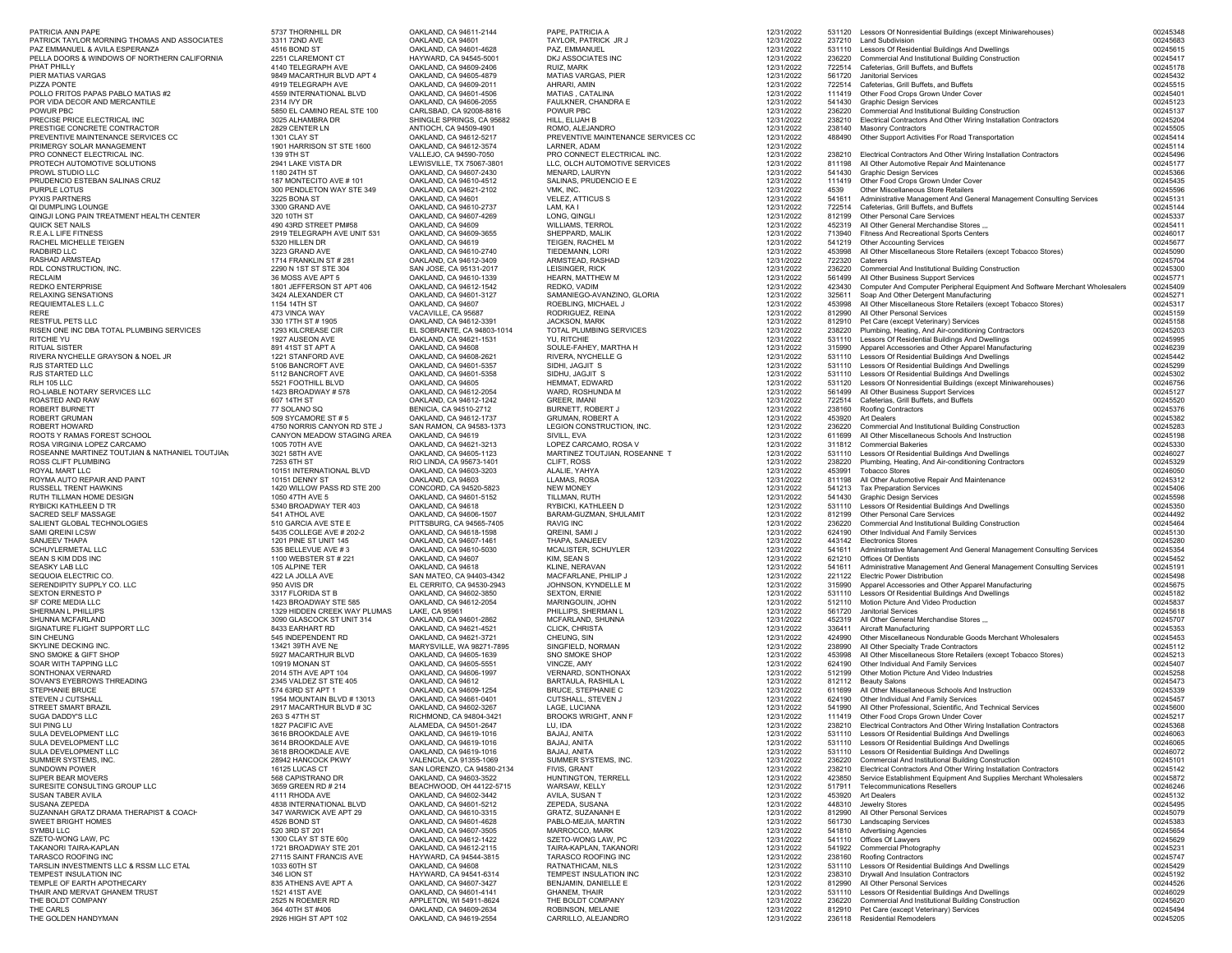| PATRICIA ANN PAPE                                                              | 5737 THORNHILL DR                                         | OAKLAND, CA 94611-2144                               | PAPE, PATRICIA A                                   | 12/31/2022               |                  | 531120 Lessors Of Nonresidential Buildings (except Miniwarehouses)                                                                    | 00245348             |
|--------------------------------------------------------------------------------|-----------------------------------------------------------|------------------------------------------------------|----------------------------------------------------|--------------------------|------------------|---------------------------------------------------------------------------------------------------------------------------------------|----------------------|
| PATRICK TAYLOR MORNING THOMAS AND ASSOCIATES<br>PAZ EMMANUEL & AVILA ESPERANZA | 3311 72ND AVE<br>4516 BOND ST                             | OAKLAND, CA 94601<br>OAKLAND, CA 94601-4628          | TAYLOR, PATRICK JR J<br>PAZ, EMMANUEL              | 12/31/2022<br>12/31/2022 | 237210<br>531110 | <b>Land Subdivision</b><br>Lessors Of Residential Buildings And Dwellings                                                             | 00245683<br>00245615 |
| PELLA DOORS & WINDOWS OF NORTHERN CALIFORNIA                                   | 2251 CLAREMONT CT                                         | HAYWARD, CA 94545-5001                               | DKJ ASSOCIATES INC                                 | 12/31/2022               | 236220           | Commercial And Institutional Building Construction                                                                                    | 00245417             |
| PHAT PHILLY                                                                    | 4140 TELEGRAPH AVE                                        | OAKLAND, CA 94609-2406                               | RUIZ, MARK                                         | 12/31/2022               | 722514           | Cafeterias, Grill Buffets, and Buffets                                                                                                | 00245178             |
| PIER MATIAS VARGAS<br>PIZZA PONTE                                              | 9849 MACARTHUR BLVD APT 4<br>4919 TELEGRAPH AVE           | OAKLAND, CA 94605-4879<br>OAKLAND, CA 94609-2011     | MATIAS VARGAS, PIER<br>AHRARI, AMIN                | 12/31/2022<br>12/31/2022 | 561720<br>722514 | <b>Janitorial Services</b><br>Cafeterias, Grill Buffets, and Buffets                                                                  | 00245432<br>00245515 |
| POLLO FRITOS PAPAS PABLO MATIAS #2                                             | 4559 INTERNATIONAL BLVD                                   | OAKLAND, CA 94601-4506                               | MATIAS, CATALINA                                   | 12/31/2022               | 111419           | Other Food Crops Grown Under Cover                                                                                                    | 00245401             |
| POR VIDA DECOR AND MERCANTILE                                                  | 2314 IVY DR                                               | OAKLAND, CA 94606-2055                               | FAULKNER, CHANDRA E                                | 12/31/2022               | 541430           | <b>Graphic Design Services</b>                                                                                                        | 00245123             |
| POWUR PBC<br>PRECISE PRICE ELECTRICAL INC                                      | 5850 EL CAMINO REAL STE 100<br>3025 ALHAMBRA DR           | CARLSBAD, CA 92008-8816<br>SHINGLE SPRINGS, CA 95682 | POWUR PBC<br>HILL, ELIJAH B                        | 12/31/2022<br>12/31/2022 | 236220<br>238210 | Commercial And Institutional Building Construction<br>Electrical Contractors And Other Wiring Installation Contractors                | 00245137<br>00245204 |
| PRESTIGE CONCRETE CONTRACTOR                                                   | 2829 CENTER LN                                            | ANTIOCH, CA 94509-4901                               | ROMO, ALEJANDRO                                    | 12/31/2022               | 238140           | <b>Masonry Contractors</b>                                                                                                            | 00245505             |
| PREVENTIVE MAINTENANCE SERVICES CC<br>PRIMERGY SOLAR MANAGEMENT                | 1301 CLAY ST<br>1901 HARRISON ST STE 1600                 | OAKLAND, CA 94612-5217<br>OAKLAND, CA 94612-3574     | PREVENTIVE MAINTENANCE SERVICES CC<br>LARNER, ADAM | 12/31/2022<br>12/31/2022 | 488490           | Other Support Activities For Road Transportation                                                                                      | 00245414<br>00245114 |
| PRO CONNECT ELECTRICAL INC                                                     | 139 9TH ST                                                | VALLEJO, CA 94590-7050                               | PRO CONNECT ELECTRICAL INC.                        | 12/31/2022               | 238210           | Electrical Contractors And Other Wiring Installation Contractors                                                                      | 00245496             |
| PROTECH AUTOMOTIVE SOLUTIONS                                                   | 2941 LAKE VISTA DR                                        | LEWISVILLE, TX 75067-3801                            | LLC, OLCH AUTOMOTIVE SERVICES                      | 12/31/2022               | 811198           | All Other Automotive Repair And Maintenance                                                                                           | 00245177             |
| PROWL STUDIO LLC<br>PRUDENCIO ESTEBAN SALINAS CRUZ                             | 1180 24TH ST<br>187 MONTECITO AVE #101                    | OAKLAND, CA 94607-2430<br>OAKLAND, CA 94610-4512     | MENARD, LAURYN<br>SALINAS, PRUDENCIO E E           | 12/31/2022<br>12/31/2022 | 541430<br>111419 | <b>Graphic Design Services</b><br>Other Food Crops Grown Under Cover                                                                  | 00245366<br>00245435 |
| PURPLE LOTUS                                                                   | 300 PENDLETON WAY STE 349                                 | OAKLAND, CA 94621-2102                               | VMK, INC.                                          | 12/31/2022               | 4539             | Other Miscellaneous Store Retailers                                                                                                   | 00245596             |
| PYXIS PARTNERS                                                                 | 3225 BONA ST                                              | OAKLAND, CA 94601                                    | <b>VELEZ, ATTICUS S</b>                            | 12/31/2022               | 541611           | Administrative Management And General Management Consulting Services                                                                  | 00245131             |
| QI DUMPLING LOUNGE<br>QINGJI LONG PAIN TREATMENT HEALTH CENTER                 | 3300 GRAND AVE<br>320 10TH ST                             | OAKLAND, CA 94610-2737<br>OAKLAND, CA 94607-4269     | LAM, KA I<br>LONG, QINGLI                          | 12/31/2022<br>12/31/2022 | 722514<br>812199 | Cafeterias, Grill Buffets, and Buffets<br>Other Personal Care Services                                                                | 00245144<br>00245337 |
| QUICK SET NAILS                                                                | 490 43RD STREET PM#58                                     | OAKLAND, CA 94609                                    | <b>WILLIAMS, TERROL</b>                            | 12/31/2022               | 452319           | All Other General Merchandise Stores ,,,                                                                                              | 00245411             |
| R.E.A.L LIFE FITNESS<br>RACHEL MICHELLE TEIGEN                                 | 2919 TELEGRAPH AVE UNIT 531<br>5320 HILLEN DR             | OAKLAND, CA 94609-3655<br>OAKLAND, CA 94619          | SHEPPARD, MALIK<br>TEIGEN, RACHEL M                | 12/31/2022<br>12/31/2022 | 713940<br>541219 | Fitness And Recreational Sports Centers<br><b>Other Accounting Services</b>                                                           | 00246017<br>00245677 |
| RADBIRD LLC                                                                    | 3223 GRAND AVE                                            | OAKLAND, CA 94610-2740                               | TIEDEMANN, LORI                                    | 12/31/2022               | 453998           | All Other Miscellaneous Store Retailers (except Tobacco Stores)                                                                       | 00245090             |
| RASHAD ARMSTEAD                                                                | 1714 FRANKLIN ST # 281                                    | OAKLAND, CA 94612-3409                               | ARMSTEAD, RASHAD                                   | 12/31/2022               | 722320           | Caterers                                                                                                                              | 00245704             |
| RDL CONSTRUCTION, INC.<br>RECLAIM                                              | 2290 N 1ST ST STE 304<br>36 MOSS AVE APT 5                | SAN JOSE, CA 95131-2017<br>OAKLAND, CA 94610-1339    | LEISINGER, RICK<br>HEARN, MATTHEW M                | 12/31/2022<br>12/31/2022 | 236220<br>561499 | Commercial And Institutional Building Construction<br>All Other Business Support Services                                             | 00245300<br>00245771 |
| REDKO ENTERPRISE                                                               | 1801 JEFFERSON ST APT 406                                 | OAKLAND, CA 94612-1542                               | REDKO, VADIM                                       | 12/31/2022               | 423430           | Computer And Computer Peripheral Equipment And Software Merchant Wholesalers                                                          | 00245409             |
| RELAXING SENSATIONS                                                            | 3424 ALEXANDER CT                                         | OAKLAND, CA 94601-3127                               | SAMANIEGO-AVANZINO, GLORIA                         | 12/31/2022               | 325611           | Soap And Other Detergent Manufacturing                                                                                                | 00245271             |
| REQUIEMTALES L.L.C<br>RERE                                                     | 1154 14TH ST<br>473 VINCA WAY                             | OAKLAND, CA 94607<br>VACAVILLE, CA 95687             | ROEBLING, MICHAEL J<br>RODRIGUEZ, REINA            | 12/31/2022<br>12/31/2022 | 453998<br>812990 | All Other Miscellaneous Store Retailers (except Tobacco Stores)<br>All Other Personal Services                                        | 00245317<br>00245159 |
| RESTFUL PETS LLC                                                               | 330 17TH ST # 1905                                        | OAKLAND, CA 94612-3391                               | JACKSON, MARK                                      | 12/31/2022               | 812910           | Pet Care (except Veterinary) Services                                                                                                 | 00245158             |
| RISEN ONE INC DBA TOTAL PLUMBING SERVICES<br>RITCHIE YU                        | 1293 KILCREASE CIR<br>1927 AUSEON AVE                     | EL SOBRANTE, CA 94803-1014                           | TOTAL PLUMBING SERVICES<br>YU, RITCHIE             | 12/31/2022               | 238220<br>531110 | Plumbing, Heating, And Air-conditioning Contractors                                                                                   | 00245203<br>00245995 |
| RITUAL SISTER                                                                  | 891 41ST ST APT A                                         | OAKLAND, CA 94621-1531<br>OAKLAND, CA 94608          | SOULE-FAHEY, MARTHA H                              | 12/31/2022<br>12/31/2022 | 315990           | Lessors Of Residential Buildings And Dwellings<br>Apparel Accessories and Other Apparel Manufacturing                                 | 00246239             |
| RIVERA NYCHELLE GRAYSON & NOEL JR                                              | 1221 STANFORD AVE                                         | OAKLAND, CA 94608-2621                               | RIVERA, NYCHELLE G                                 | 12/31/2022               | 531110           | Lessors Of Residential Buildings And Dwellings                                                                                        | 00245442             |
| RJS STARTED LLC<br>RJS STARTED LLC                                             | 5106 BANCROFT AVE<br>5112 BANCROFT AVE                    | OAKLAND, CA 94601-5357<br>OAKLAND, CA 94601-5358     | SIDHI, JAGJIT S<br>SIDHU, JAGJIT S                 | 12/31/2022<br>12/31/2022 | 531110<br>531110 | Lessors Of Residential Buildings And Dwellings<br>Lessors Of Residential Buildings And Dwellings                                      | 00245299<br>00245302 |
| RLH 105 LLC                                                                    | 5521 FOOTHILL BLVD                                        | OAKLAND, CA 94605                                    | HEMMAT, EDWARD                                     | 12/31/2022               | 531120           | Lessors Of Nonresidential Buildings (except Miniwarehouses)                                                                           | 00246756             |
| RO-LIABLE NOTARY SERVICES LLC                                                  | 1423 BROADWAY #578                                        | OAKLAND, CA 94612-2054                               | WARD, ROSHUNDA M                                   | 12/31/2022               | 561499           | All Other Business Support Services<br>Cafeterias, Grill Buffets, and Buffets                                                         | 00245127             |
| ROASTED AND RAW<br>ROBERT BURNETT                                              | 607 14TH ST<br>77 SOLANO SQ                               | OAKLAND, CA 94612-1242<br>BENICIA, CA 94510-2712     | GREER, IMANI<br>BURNETT, ROBERT J                  | 12/31/2022<br>12/31/2022 | 722514<br>238160 | Roofing Contractors                                                                                                                   | 00245520<br>00245376 |
| ROBERT GRUMAN                                                                  | 509 SYCAMORE ST #5                                        | OAKLAND, CA 94612-1737                               | GRUMAN, ROBERT A                                   | 12/31/2022               | 453920           | Art Dealers                                                                                                                           | 00245382             |
| ROBERT HOWARD<br>ROOTS Y RAMAS FOREST SCHOOL                                   | 4750 NORRIS CANYON RD STE J<br>CANYON MEADOW STAGING AREA | SAN RAMON, CA 94583-1373<br>OAKLAND, CA 94619        | LEGION CONSTRUCTION, INC.<br>SIVILL, EVA           | 12/31/2022<br>12/31/2022 | 236220<br>611699 | Commercial And Institutional Building Construction<br>All Other Miscellaneous Schools And Instruction                                 | 00245283<br>00245198 |
| ROSA VIRGINIA LOPEZ CARCAMO                                                    | 1005 70TH AVE                                             | OAKLAND, CA 94621-3213                               | LOPEZ CARCAMO, ROSA V                              | 12/31/2022               | 311812           | <b>Commercial Bakeries</b>                                                                                                            | 00245330             |
| ROSEANNE MARTINEZ TOUTJIAN & NATHANIEL TOUTJIAN                                | 3021 58TH AVE                                             | OAKLAND, CA 94605-1123                               | MARTINEZ TOUTJIAN, ROSEANNE T                      | 12/31/2022               | 531110           | Lessors Of Residential Buildings And Dwellings                                                                                        | 00246027             |
| ROSS CLIFT PLUMBING<br>ROYAL MART LLC                                          | 7253 6TH ST<br>10151 INTERNATIONAL BLVD                   | RIO LINDA, CA 95673-1401<br>OAKLAND, CA 94603-3203   | CLIFT, ROSS<br>ALALIE, YAHYA                       | 12/31/2022<br>12/31/2022 | 238220<br>453991 | Plumbing, Heating, And Air-conditioning Contractors<br><b>Tobacco Stores</b>                                                          | 00245329<br>00246050 |
| ROYMA AUTO REPAIR AND PAINT                                                    | 10151 DENNY ST                                            | OAKLAND, CA 94603                                    | LLAMAS, ROSA                                       | 12/31/2022               | 811198           | All Other Automotive Repair And Maintenance                                                                                           | 00245312             |
| RUSSELL TRENT HAWKINS<br>RUTH TILLMAN HOME DESIGN                              | 1420 WILLOW PASS RD STE 200<br>1050 47TH AVE 5            | CONCORD, CA 94520-5823<br>OAKLAND, CA 94601-5152     | <b>NEW MONEY</b><br>TILLMAN, RUTH                  | 12/31/2022<br>12/31/2022 | 541213<br>541430 | <b>Tax Preparation Services</b><br><b>Graphic Design Services</b>                                                                     | 00245406<br>00245598 |
| RYBICKI KATHLEEN D TR                                                          | 5340 BROADWAY TER 403                                     | OAKLAND, CA 94618                                    | RYBICKI, KATHLEEN D                                | 12/31/2022               | 531110           | Lessors Of Residential Buildings And Dwellings                                                                                        | 00245350             |
| SACRED SELF MASSAGE                                                            | 541 ATHOL AVE                                             | OAKLAND, CA 94606-1507                               | BARAM-GUZMAN, SHULAMIT                             | 12/31/2022               | 812199           | Other Personal Care Services                                                                                                          | 00244492             |
| SALIENT GLOBAL TECHNOLOGIES<br>SAMI QREINI LCSW                                | 510 GARCIA AVE STE E<br>5435 COLLEGE AVE # 202-2          | PITTSBURG, CA 94565-7405<br>OAKLAND, CA 94618-1598   | <b>RAVIG INC</b><br>QREINI, SAMI J                 | 12/31/2022<br>12/31/2022 | 236220<br>624190 | Commercial And Institutional Building Construction<br>Other Individual And Family Services                                            | 00245464<br>00245130 |
| SANJEEV THAPA                                                                  | 1201 PINE ST UNIT 145                                     | OAKLAND, CA 94607-1461                               | THAPA, SANJEEV                                     | 12/31/2022               | 443142           | <b>Flectronics Stores</b>                                                                                                             | 00245280             |
| SCHUYLERMETAL LLC                                                              | 535 BELLEVUE AVE #3                                       | OAKLAND, CA 94610-5030                               | MCALISTER, SCHUYLER                                | 12/31/2022               | 541611<br>621210 | Administrative Management And General Management Consulting Services<br>Offices Of Dentists                                           | 00245354<br>00245452 |
| SEAN S KIM DDS INC<br>SEASKY LAB LLC                                           | 1100 WEBSTER ST # 221<br>105 ALPINE TER                   | OAKLAND, CA 94607<br>OAKLAND, CA 94618               | KIM, SEAN S<br>KLINE, NERAVAN                      | 12/31/2022<br>12/31/2022 | 541611           | Administrative Management And General Management Consulting Services                                                                  | 00245191             |
| SEQUOIA ELECTRIC CO.                                                           | 422 LA JOLLA AVE                                          | SAN MATEO, CA 94403-4342                             | MACFARLANE, PHILIP J                               | 12/31/2022               | 221122           | <b>Electric Power Distribution</b>                                                                                                    | 00245498             |
| SERENDIPITY SUPPLY CO. LLC<br><b>SEXTON ERNESTO P</b>                          | 950 AVIS DR<br>3317 FLORIDA ST B                          | EL CERRITO, CA 94530-2943<br>OAKLAND, CA 94602-3850  | JOHNSON, KYNDELLE M<br><b>SEXTON, ERNIE</b>        | 12/31/2022<br>12/31/2022 | 315990<br>531110 | Apparel Accessories and Other Apparel Manufacturing<br>Lessors Of Residential Buildings And Dwellings                                 | 00245675<br>00245182 |
| SF CORE MEDIA LLC                                                              | 1423 BROADWAY STE 585                                     | OAKLAND, CA 94612-2054                               | MARINGOUIN, JOHN                                   | 12/31/2022               | 512110           | Motion Picture And Video Production                                                                                                   | 00245837             |
| SHERMAN L PHILLIPS<br>SHUNNA MCFARLAND                                         | 1329 HIDDEN CREEK WAY PLUMAS<br>3090 GLASCOCK ST UNIT 314 | LAKE, CA 95961<br>OAKLAND, CA 94601-2862             | PHILLIPS, SHERMAN L<br>MCFARLAND, SHUNNA           | 12/31/2022<br>12/31/2022 | 561720<br>452319 | <b>Janitorial Services</b><br>All Other General Merchandise Stores                                                                    | 00245618<br>00245707 |
| SIGNATURE FLIGHT SUPPORT LLC                                                   | 8433 EARHART RD                                           | OAKLAND, CA 94621-4521                               | CLICK, CHRISTA                                     | 12/31/2022               | 336411           | Aircraft Manufacturing                                                                                                                | 00245353             |
| SIN CHEUNG                                                                     | 545 INDEPENDENT RD                                        | OAKLAND, CA 94621-3721                               | CHEUNG, SIN                                        | 12/31/2022               | 424990           | Other Miscellaneous Nondurable Goods Merchant Wholesalers                                                                             | 00245453             |
| SKYLINE DECKING INC.<br>SNO SMOKE & GIFT SHOP                                  | 13421 39TH AVE NE<br>5927 MACARTHUR BLVD                  | MARYSVILLE, WA 98271-7895<br>OAKLAND, CA 94605-1639  | SINGFIELD, NORMAN<br>SNO SMOKE SHOP                | 12/31/2022<br>12/31/2022 | 238990<br>453998 | All Other Specialty Trade Contractors<br>All Other Miscellaneous Store Retailers (except Tobacco Stores)                              | 00245112<br>00245213 |
| SOAR WITH TAPPING LLC                                                          | 10919 MONAN ST                                            | OAKLAND, CA 94605-5551                               | VINCZE, AMY                                        | 12/31/2022               | 624190           | Other Individual And Family Services                                                                                                  | 00245407             |
| SONTHONAX VERNARD<br>SOVAN'S EYEBROWS THREADING                                | 2014 5TH AVE APT 104<br>2345 VALDEZ ST STE 405            | OAKLAND, CA 94606-1997<br>OAKLAND, CA 94612          | VERNARD, SONTHONAX<br>BARTAULA, RASHILA L          | 12/31/2022<br>12/31/2022 | 512199<br>812112 | Other Motion Picture And Video Industries<br><b>Beauty Salons</b>                                                                     | 00245258<br>00245473 |
| STEPHANIE BRUCE                                                                | 574 63RD ST APT 1                                         | OAKLAND, CA 94609-1254                               | <b>BRUCE, STEPHANIE C</b>                          | 12/31/2022               | 611699           | All Other Miscellaneous Schools And Instruction                                                                                       | 00245339             |
| STEVEN J CUTSHALL                                                              | 1954 MOUNTAIN BLVD # 13013                                | OAKLAND, CA 94661-0401                               | CUTSHALL, STEVEN J                                 | 12/31/2022               | 624190           | Other Individual And Family Services                                                                                                  | 00245457             |
| STREET SMART BRAZIL<br>SUGA DADDY'S LLC                                        | 2917 MACARTHUR BLVD #3C<br>263 S 47TH ST                  | OAKLAND, CA 94602-3267<br>RICHMOND, CA 94804-3421    | LAGE, LUCIANA<br>BROOKS WRIGHT, ANN F              | 12/31/2022<br>12/31/2022 | 541990<br>111419 | All Other Professional, Scientific, And Technical Services<br>Other Food Crops Grown Under Cover                                      | 00245600<br>00245217 |
| SUI PING LU                                                                    | 1827 PACIFIC AVE                                          | ALAMEDA, CA 94501-2647                               | LU, IDA                                            | 12/31/2022               | 238210           | Electrical Contractors And Other Wiring Installation Contractors                                                                      | 00245368             |
| SULA DEVELOPMENT LLC                                                           | 3616 BROOKDALE AVE                                        | OAKLAND, CA 94619-1016                               | BAJAJ, ANITA                                       | 12/31/2022               | 531110<br>531110 | Lessors Of Residential Buildings And Dwellings<br>Lessors Of Residential Buildings And Dwellings                                      | 00246063             |
| SULA DEVELOPMENT LLC<br>SULA DEVELOPMENT LLC                                   | 3614 BROOKDALE AVE<br>3618 BROOKDALE AVE                  | OAKLAND, CA 94619-1016<br>OAKLAND, CA 94619-1016     | BAJAJ, ANITA<br>BAJAJ, ANITA                       | 12/31/2022<br>12/31/2022 | 531110           | Lessors Of Residential Buildings And Dwellings                                                                                        | 00246065<br>00246072 |
| SUMMER SYSTEMS, INC.                                                           | 28942 HANCOCK PKWY                                        | VALENCIA, CA 91355-1069                              | SUMMER SYSTEMS, INC.                               | 12/31/2022               | 236220           | Commercial And Institutional Building Construction                                                                                    | 00245101             |
| SUNDOWN POWER<br>SUPER BEAR MOVERS                                             | 16125 LUCAS CT<br>568 CAPISTRANO DR                       | SAN LORENZO, CA 94580-2134<br>OAKLAND, CA 94603-3522 | FIVIS, GRANT<br>HUNTINGTON, TERRELL                | 12/31/2022<br>12/31/2022 | 238210<br>423850 | Electrical Contractors And Other Wiring Installation Contractors<br>Service Establishment Equipment And Supplies Merchant Wholesalers | 00245142<br>00245872 |
| SURESITE CONSULTING GROUP LLC                                                  | 3659 GREEN RD # 214                                       | BEACHWOOD, OH 44122-5715                             | WARSAW, KELLY                                      | 12/31/2022               | 517911           | <b>Telecommunications Resellers</b>                                                                                                   | 00246246             |
| SUSAN TABER AVILA<br>SUSANA ZEPEDA                                             | 4111 RHODA AVE                                            | OAKLAND, CA 94602-3442                               | AVILA, SUSAN T<br>ZEPEDA, SUSANA                   | 12/31/2022               | 453920           | Art Dealers                                                                                                                           | 00245132<br>00245495 |
| SUZANNAH GRATZ DRAMA THERAPIST & COACH                                         | 4838 INTERNATIONAL BLVD<br>347 WARWICK AVE APT 29         | OAKLAND, CA 94601-5212<br>OAKLAND, CA 94610-3315     | GRATZ, SUZANANH E                                  | 12/31/2022<br>12/31/2022 | 448310<br>812990 | Jewelry Stores<br>All Other Personal Services                                                                                         | 00245079             |
| SWEET BRIGHT HOMES                                                             | 4526 BOND ST                                              | OAKLAND, CA 94601-4628                               | PABLO-MEJIA, MARTIN                                | 12/31/2022               | 561730           | <b>Landscaping Services</b>                                                                                                           | 00245383             |
| SYMBU LLC<br>SZETO-WONG LAW, PC                                                | 520 3RD ST 201<br>1300 CLAY ST STE 600                    | OAKLAND, CA 94607-3505<br>OAKLAND, CA 94612-1422     | MARROCCO, MARK<br>SZETO-WONG LAW, PC               | 12/31/2022<br>12/31/2022 | 541810<br>541110 | <b>Advertising Agencies</b><br>Offices Of Lawyers                                                                                     | 00245654<br>00245629 |
| TAKANORI TAIRA-KAPLAN                                                          | 1721 BROADWAY STE 201                                     | OAKLAND, CA 94612-2115                               | TAIRA-KAPLAN, TAKANORI                             | 12/31/2022               | 541922           | Commercial Photography                                                                                                                | 00245231             |
| TARASCO ROOFING INC                                                            | 27115 SAINT FRANCIS AVE                                   | HAYWARD, CA 94544-3815<br>OAKLAND, CA 94608          | TARASCO ROOFING INC<br>RATNATHICAM, NILS           | 12/31/2022               | 238160<br>531110 | Roofing Contractors                                                                                                                   | 00245747             |
| TARSLIN INVESTMENTS LLC & RSSM LLC ETAL<br>TEMPEST INSULATION INC              | 1033 60TH ST<br>346 LION ST                               | HAYWARD, CA 94541-6314                               | TEMPEST INSULATION INC                             | 12/31/2022<br>12/31/2022 | 238310           | Lessors Of Residential Buildings And Dwellings<br>Drywall And Insulation Contractors                                                  | 00245429<br>00245192 |
| TEMPLE OF EARTH APOTHECARY                                                     | 835 ATHENS AVE APT A                                      | OAKLAND, CA 94607-3427                               | BENJAMIN, DANIELLE E                               | 12/31/2022               | 812990           | All Other Personal Services                                                                                                           | 00244526             |
| THAIR AND MERVAT GHANEM TRUST<br>THE BOLDT COMPANY                             | 1521 41ST AVE<br>2525 N ROEMER RD                         | OAKLAND, CA 94601-4141<br>APPLETON, WI 54911-8624    | <b>GHANEM, THAIR</b><br>THE BOLDT COMPANY          | 12/31/2022<br>12/31/2022 | 531110<br>236220 | Lessors Of Residential Buildings And Dwellings<br>Commercial And Institutional Building Construction                                  | 00246029<br>00245620 |
| THE CARLS                                                                      | 364 40TH ST #406                                          | OAKLAND, CA 94609-2634                               | ROBINSON, MELANIE                                  | 12/31/2022               | 812910           | Pet Care (except Veterinary) Services                                                                                                 | 00245494             |
| THE GOLDEN HANDYMAN                                                            | 2926 HIGH ST APT 102                                      | OAKLAND, CA 94619-2554                               | CARRILLO, ALEJANDRO                                | 12/31/2022               | 236118           | <b>Residential Remodelers</b>                                                                                                         | 00245205             |